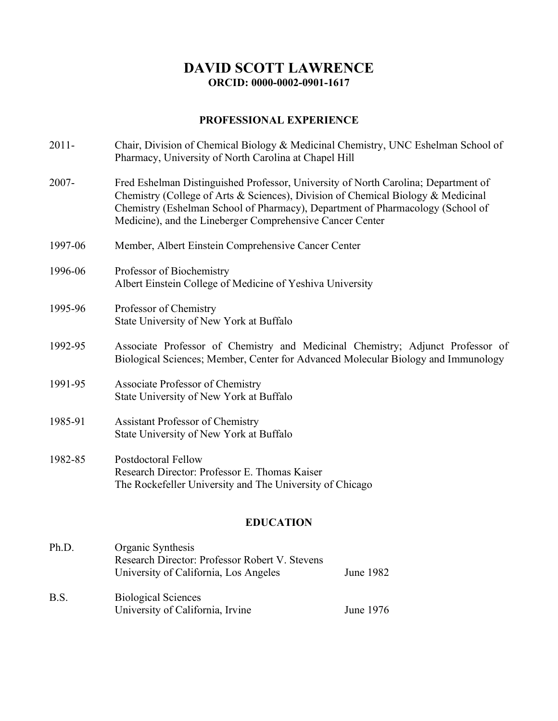# **DAVID SCOTT LAWRENCE ORCID: 0000-0002-0901-1617**

# **PROFESSIONAL EXPERIENCE**

| $2011 -$         | Chair, Division of Chemical Biology & Medicinal Chemistry, UNC Eshelman School of<br>Pharmacy, University of North Carolina at Chapel Hill                                                                                                                                                                            |  |
|------------------|-----------------------------------------------------------------------------------------------------------------------------------------------------------------------------------------------------------------------------------------------------------------------------------------------------------------------|--|
| 2007-            | Fred Eshelman Distinguished Professor, University of North Carolina; Department of<br>Chemistry (College of Arts & Sciences), Division of Chemical Biology & Medicinal<br>Chemistry (Eshelman School of Pharmacy), Department of Pharmacology (School of<br>Medicine), and the Lineberger Comprehensive Cancer Center |  |
| 1997-06          | Member, Albert Einstein Comprehensive Cancer Center                                                                                                                                                                                                                                                                   |  |
| 1996-06          | Professor of Biochemistry<br>Albert Einstein College of Medicine of Yeshiva University                                                                                                                                                                                                                                |  |
| 1995-96          | Professor of Chemistry<br>State University of New York at Buffalo                                                                                                                                                                                                                                                     |  |
| 1992-95          | Associate Professor of Chemistry and Medicinal Chemistry; Adjunct Professor of<br>Biological Sciences; Member, Center for Advanced Molecular Biology and Immunology                                                                                                                                                   |  |
| 1991-95          | Associate Professor of Chemistry<br>State University of New York at Buffalo                                                                                                                                                                                                                                           |  |
| 1985-91          | <b>Assistant Professor of Chemistry</b><br>State University of New York at Buffalo                                                                                                                                                                                                                                    |  |
| 1982-85          | <b>Postdoctoral Fellow</b><br>Research Director: Professor E. Thomas Kaiser<br>The Rockefeller University and The University of Chicago                                                                                                                                                                               |  |
| <b>EDUCATION</b> |                                                                                                                                                                                                                                                                                                                       |  |

# Ph.D. Organic Synthesis Research Director: Professor Robert V. Stevens University of California, Los Angeles June 1982 B.S. Biological Sciences University of California, Irvine June 1976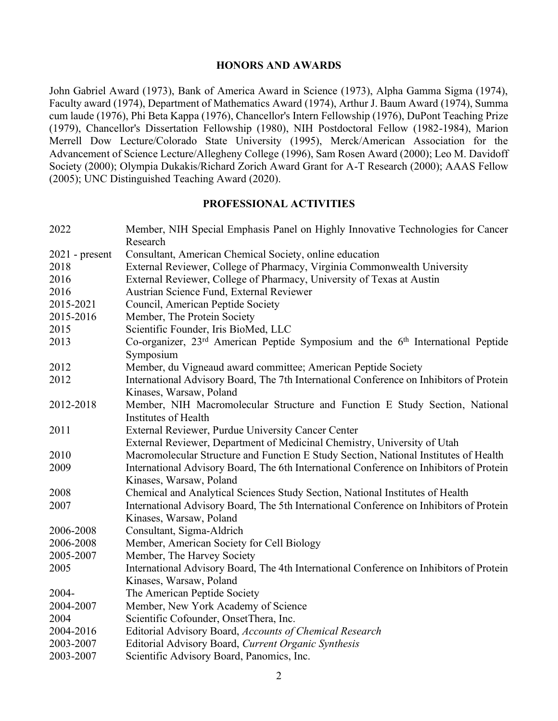### **HONORS AND AWARDS**

John Gabriel Award (1973), Bank of America Award in Science (1973), Alpha Gamma Sigma (1974), Faculty award (1974), Department of Mathematics Award (1974), Arthur J. Baum Award (1974), Summa cum laude (1976), Phi Beta Kappa (1976), Chancellor's Intern Fellowship (1976), DuPont Teaching Prize (1979), Chancellor's Dissertation Fellowship (1980), NIH Postdoctoral Fellow (1982-1984), Marion Merrell Dow Lecture/Colorado State University (1995), Merck/American Association for the Advancement of Science Lecture/Allegheny College (1996), Sam Rosen Award (2000); Leo M. Davidoff Society (2000); Olympia Dukakis/Richard Zorich Award Grant for A-T Research (2000); AAAS Fellow (2005); UNC Distinguished Teaching Award (2020).

### **PROFESSIONAL ACTIVITIES**

| 2022             | Member, NIH Special Emphasis Panel on Highly Innovative Technologies for Cancer                         |
|------------------|---------------------------------------------------------------------------------------------------------|
|                  | Research                                                                                                |
| $2021$ - present | Consultant, American Chemical Society, online education                                                 |
| 2018             | External Reviewer, College of Pharmacy, Virginia Commonwealth University                                |
| 2016             | External Reviewer, College of Pharmacy, University of Texas at Austin                                   |
| 2016             | Austrian Science Fund, External Reviewer                                                                |
| 2015-2021        | Council, American Peptide Society                                                                       |
| 2015-2016        | Member, The Protein Society                                                                             |
| 2015             | Scientific Founder, Iris BioMed, LLC                                                                    |
| 2013             | Co-organizer, 23 <sup>rd</sup> American Peptide Symposium and the 6 <sup>th</sup> International Peptide |
|                  | Symposium                                                                                               |
| 2012             | Member, du Vigneaud award committee; American Peptide Society                                           |
| 2012             | International Advisory Board, The 7th International Conference on Inhibitors of Protein                 |
|                  | Kinases, Warsaw, Poland                                                                                 |
| 2012-2018        | Member, NIH Macromolecular Structure and Function E Study Section, National                             |
|                  | Institutes of Health                                                                                    |
| 2011             | External Reviewer, Purdue University Cancer Center                                                      |
|                  | External Reviewer, Department of Medicinal Chemistry, University of Utah                                |
| 2010             | Macromolecular Structure and Function E Study Section, National Institutes of Health                    |
| 2009             | International Advisory Board, The 6th International Conference on Inhibitors of Protein                 |
|                  | Kinases, Warsaw, Poland                                                                                 |
| 2008             | Chemical and Analytical Sciences Study Section, National Institutes of Health                           |
| 2007             | International Advisory Board, The 5th International Conference on Inhibitors of Protein                 |
|                  | Kinases, Warsaw, Poland                                                                                 |
| 2006-2008        | Consultant, Sigma-Aldrich                                                                               |
| 2006-2008        | Member, American Society for Cell Biology                                                               |
| 2005-2007        | Member, The Harvey Society                                                                              |
| 2005             | International Advisory Board, The 4th International Conference on Inhibitors of Protein                 |
|                  | Kinases, Warsaw, Poland                                                                                 |
| 2004-            | The American Peptide Society                                                                            |
| 2004-2007        | Member, New York Academy of Science                                                                     |
| 2004             | Scientific Cofounder, OnsetThera, Inc.                                                                  |
| 2004-2016        | Editorial Advisory Board, Accounts of Chemical Research                                                 |
| 2003-2007        | Editorial Advisory Board, Current Organic Synthesis                                                     |
| 2003-2007        | Scientific Advisory Board, Panomics, Inc.                                                               |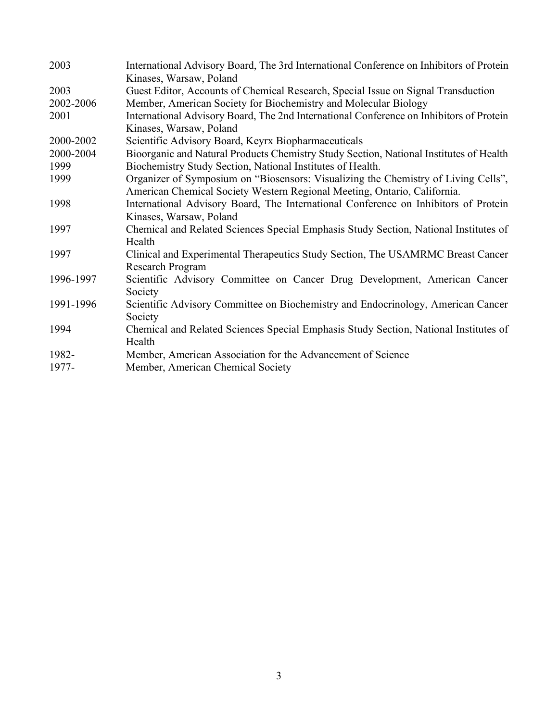| 2003      | International Advisory Board, The 3rd International Conference on Inhibitors of Protein<br>Kinases, Warsaw, Poland                                              |
|-----------|-----------------------------------------------------------------------------------------------------------------------------------------------------------------|
| 2003      | Guest Editor, Accounts of Chemical Research, Special Issue on Signal Transduction                                                                               |
| 2002-2006 | Member, American Society for Biochemistry and Molecular Biology                                                                                                 |
| 2001      | International Advisory Board, The 2nd International Conference on Inhibitors of Protein<br>Kinases, Warsaw, Poland                                              |
| 2000-2002 | Scientific Advisory Board, Keyrx Biopharmaceuticals                                                                                                             |
| 2000-2004 | Bioorganic and Natural Products Chemistry Study Section, National Institutes of Health                                                                          |
| 1999      | Biochemistry Study Section, National Institutes of Health.                                                                                                      |
| 1999      | Organizer of Symposium on "Biosensors: Visualizing the Chemistry of Living Cells",                                                                              |
| 1998      | American Chemical Society Western Regional Meeting, Ontario, California.<br>International Advisory Board, The International Conference on Inhibitors of Protein |
|           | Kinases, Warsaw, Poland                                                                                                                                         |
| 1997      | Chemical and Related Sciences Special Emphasis Study Section, National Institutes of<br>Health                                                                  |
| 1997      | Clinical and Experimental Therapeutics Study Section, The USAMRMC Breast Cancer<br>Research Program                                                             |
| 1996-1997 | Scientific Advisory Committee on Cancer Drug Development, American Cancer                                                                                       |
|           | Society                                                                                                                                                         |
| 1991-1996 | Scientific Advisory Committee on Biochemistry and Endocrinology, American Cancer                                                                                |
|           | Society                                                                                                                                                         |
| 1994      | Chemical and Related Sciences Special Emphasis Study Section, National Institutes of                                                                            |
|           | Health                                                                                                                                                          |
| 1982-     | Member, American Association for the Advancement of Science                                                                                                     |
| 1977-     | Member, American Chemical Society                                                                                                                               |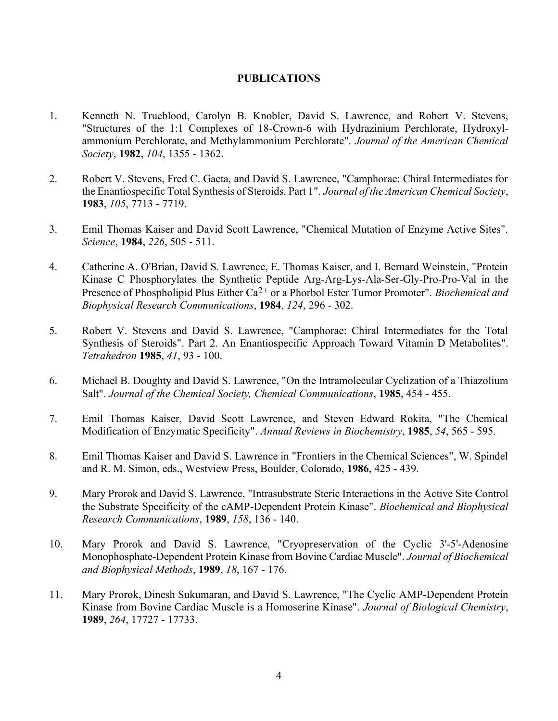### **PUBLICATIONS**

- 1. Kenneth N. Trueblood, Carolyn B. Knobler, David S. Lawrence, and Robert V. Stevens, "Structures of the 1:1 Complexes of 18-Crown-6 with Hydrazinium Perchlorate, Hydroxylammonium Perchlorate, and Methylammonium Perchlorate". *Journal of the American Chemical Society*, **1982**, *104*, 1355 - 1362.
- 2. Robert V. Stevens, Fred C. Gaeta, and David S. Lawrence, "Camphorae: Chiral Intermediates for the Enantiospecific Total Synthesis of Steroids. Part 1". *Journal of the American Chemical Society*, **1983**, *105*, 7713 - 7719.
- 3. Emil Thomas Kaiser and David Scott Lawrence, "Chemical Mutation of Enzyme Active Sites". *Science*, **1984**, *226*, 505 - 511.
- 4. Catherine A. O'Brian, David S. Lawrence, E. Thomas Kaiser, and I. Bernard Weinstein, "Protein Kinase C Phosphorylates the Synthetic Peptide Arg-Arg-Lys-Ala-Ser-Gly-Pro-Pro-Val in the Presence of Phospholipid Plus Either Ca2+ or a Phorbol Ester Tumor Promoter". *Biochemical and Biophysical Research Communications*, **1984**, *124*, 296 - 302.
- 5. Robert V. Stevens and David S. Lawrence, "Camphorae: Chiral Intermediates for the Total Synthesis of Steroids". Part 2. An Enantiospecific Approach Toward Vitamin D Metabolites". *Tetrahedron* **1985**, *41*, 93 - 100.
- 6. Michael B. Doughty and David S. Lawrence, "On the Intramolecular Cyclization of a Thiazolium Salt". *Journal of the Chemical Society, Chemical Communications*, **1985**, 454 - 455.
- 7. Emil Thomas Kaiser, David Scott Lawrence, and Steven Edward Rokita, "The Chemical Modification of Enzymatic Specificity". *Annual Reviews in Biochemistry*, **1985**, *54*, 565 - 595.
- 8. Emil Thomas Kaiser and David S. Lawrence in "Frontiers in the Chemical Sciences", W. Spindel and R. M. Simon, eds., Westview Press, Boulder, Colorado, **1986**, 425 - 439.
- 9. Mary Prorok and David S. Lawrence, "Intrasubstrate Steric Interactions in the Active Site Control the Substrate Specificity of the cAMP-Dependent Protein Kinase". *Biochemical and Biophysical Research Communications*, **1989**, *158*, 136 - 140.
- 10. Mary Prorok and David S. Lawrence, "Cryopreservation of the Cyclic 3'-5'-Adenosine Monophosphate-Dependent Protein Kinase from Bovine Cardiac Muscle". *Journal of Biochemical and Biophysical Methods*, **1989**, *18*, 167 - 176.
- 11. Mary Prorok, Dinesh Sukumaran, and David S. Lawrence, "The Cyclic AMP-Dependent Protein Kinase from Bovine Cardiac Muscle is a Homoserine Kinase". *Journal of Biological Chemistry*, **1989**, *264*, 17727 - 17733.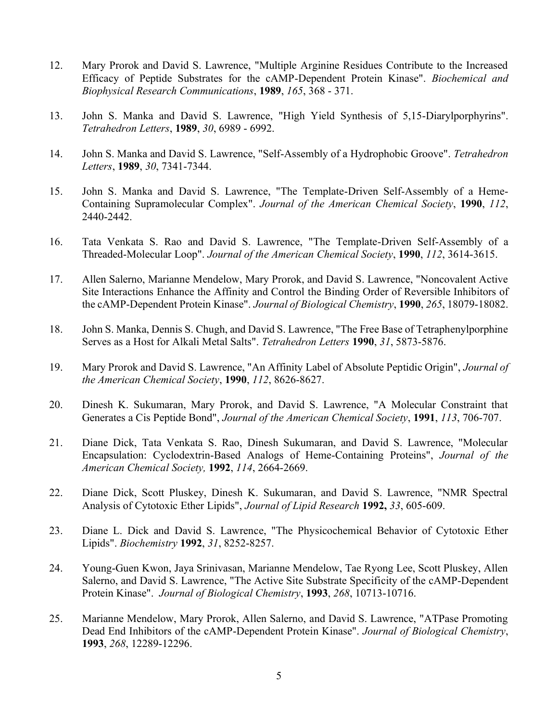- 12. Mary Prorok and David S. Lawrence, "Multiple Arginine Residues Contribute to the Increased Efficacy of Peptide Substrates for the cAMP-Dependent Protein Kinase". *Biochemical and Biophysical Research Communications*, **1989**, *165*, 368 - 371.
- 13. John S. Manka and David S. Lawrence, "High Yield Synthesis of 5,15-Diarylporphyrins". *Tetrahedron Letters*, **1989**, *30*, 6989 - 6992.
- 14. John S. Manka and David S. Lawrence, "Self-Assembly of a Hydrophobic Groove". *Tetrahedron Letters*, **1989**, *30*, 7341-7344.
- 15. John S. Manka and David S. Lawrence, "The Template-Driven Self-Assembly of a Heme-Containing Supramolecular Complex". *Journal of the American Chemical Society*, **1990**, *112*, 2440-2442.
- 16. Tata Venkata S. Rao and David S. Lawrence, "The Template-Driven Self-Assembly of a Threaded-Molecular Loop". *Journal of the American Chemical Society*, **1990**, *112*, 3614-3615.
- 17. Allen Salerno, Marianne Mendelow, Mary Prorok, and David S. Lawrence, "Noncovalent Active Site Interactions Enhance the Affinity and Control the Binding Order of Reversible Inhibitors of the cAMP-Dependent Protein Kinase". *Journal of Biological Chemistry*, **1990**, *265*, 18079-18082.
- 18. John S. Manka, Dennis S. Chugh, and David S. Lawrence, "The Free Base of Tetraphenylporphine Serves as a Host for Alkali Metal Salts". *Tetrahedron Letters* **1990**, *31*, 5873-5876.
- 19. Mary Prorok and David S. Lawrence, "An Affinity Label of Absolute Peptidic Origin", *Journal of the American Chemical Society*, **1990**, *112*, 8626-8627.
- 20. Dinesh K. Sukumaran, Mary Prorok, and David S. Lawrence, "A Molecular Constraint that Generates a Cis Peptide Bond", *Journal of the American Chemical Society*, **1991**, *113*, 706-707.
- 21. Diane Dick, Tata Venkata S. Rao, Dinesh Sukumaran, and David S. Lawrence, "Molecular Encapsulation: Cyclodextrin-Based Analogs of Heme-Containing Proteins", *Journal of the American Chemical Society,* **1992**, *114*, 2664-2669.
- 22. Diane Dick, Scott Pluskey, Dinesh K. Sukumaran, and David S. Lawrence, "NMR Spectral Analysis of Cytotoxic Ether Lipids", *Journal of Lipid Research* **1992,** *33*, 605-609.
- 23. Diane L. Dick and David S. Lawrence, "The Physicochemical Behavior of Cytotoxic Ether Lipids". *Biochemistry* **1992**, *31*, 8252-8257.
- 24. Young-Guen Kwon, Jaya Srinivasan, Marianne Mendelow, Tae Ryong Lee, Scott Pluskey, Allen Salerno, and David S. Lawrence, "The Active Site Substrate Specificity of the cAMP-Dependent Protein Kinase". *Journal of Biological Chemistry*, **1993**, *268*, 10713-10716.
- 25. Marianne Mendelow, Mary Prorok, Allen Salerno, and David S. Lawrence, "ATPase Promoting Dead End Inhibitors of the cAMP-Dependent Protein Kinase". *Journal of Biological Chemistry*, **1993**, *268*, 12289-12296.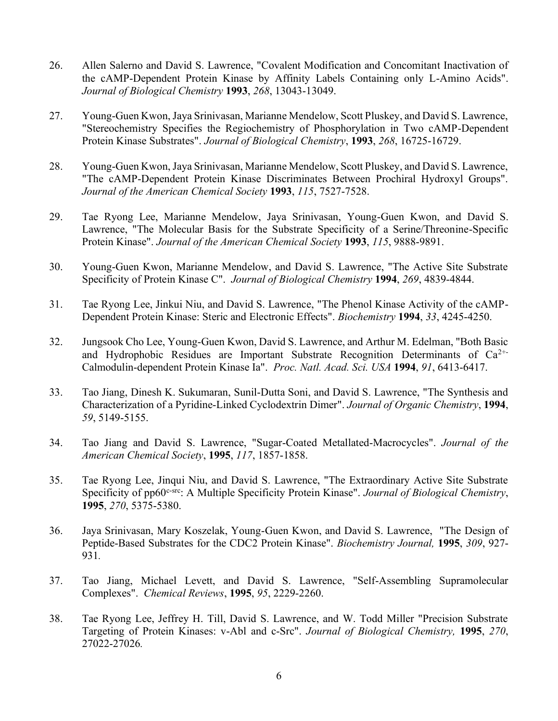- 26. Allen Salerno and David S. Lawrence, "Covalent Modification and Concomitant Inactivation of the cAMP-Dependent Protein Kinase by Affinity Labels Containing only L-Amino Acids". *Journal of Biological Chemistry* **1993**, *268*, 13043-13049.
- 27. Young-Guen Kwon, Jaya Srinivasan, Marianne Mendelow, Scott Pluskey, and David S. Lawrence, "Stereochemistry Specifies the Regiochemistry of Phosphorylation in Two cAMP-Dependent Protein Kinase Substrates". *Journal of Biological Chemistry*, **1993**, *268*, 16725-16729.
- 28. Young-Guen Kwon, Jaya Srinivasan, Marianne Mendelow, Scott Pluskey, and David S. Lawrence, "The cAMP-Dependent Protein Kinase Discriminates Between Prochiral Hydroxyl Groups". *Journal of the American Chemical Society* **1993**, *115*, 7527-7528.
- 29. Tae Ryong Lee, Marianne Mendelow, Jaya Srinivasan, Young-Guen Kwon, and David S. Lawrence, "The Molecular Basis for the Substrate Specificity of a Serine/Threonine-Specific Protein Kinase". *Journal of the American Chemical Society* **1993**, *115*, 9888-9891.
- 30. Young-Guen Kwon, Marianne Mendelow, and David S. Lawrence, "The Active Site Substrate Specificity of Protein Kinase C". *Journal of Biological Chemistry* **1994**, *269*, 4839-4844.
- 31. Tae Ryong Lee, Jinkui Niu, and David S. Lawrence, "The Phenol Kinase Activity of the cAMP-Dependent Protein Kinase: Steric and Electronic Effects". *Biochemistry* **1994**, *33*, 4245-4250.
- 32. Jungsook Cho Lee, Young-Guen Kwon, David S. Lawrence, and Arthur M. Edelman, "Both Basic and Hydrophobic Residues are Important Substrate Recognition Determinants of  $Ca^{2+}$ Calmodulin-dependent Protein Kinase Ia". *Proc. Natl. Acad. Sci. USA* **1994**, *91*, 6413-6417.
- 33. Tao Jiang, Dinesh K. Sukumaran, Sunil-Dutta Soni, and David S. Lawrence, "The Synthesis and Characterization of a Pyridine-Linked Cyclodextrin Dimer". *Journal of Organic Chemistry*, **1994**, *59*, 5149-5155.
- 34. Tao Jiang and David S. Lawrence, "Sugar-Coated Metallated-Macrocycles". *Journal of the American Chemical Society*, **1995**, *117*, 1857-1858.
- 35. Tae Ryong Lee, Jinqui Niu, and David S. Lawrence, "The Extraordinary Active Site Substrate Specificity of pp60<sup>c-src</sup>: A Multiple Specificity Protein Kinase". *Journal of Biological Chemistry*, **1995**, *270*, 5375-5380.
- 36. Jaya Srinivasan, Mary Koszelak, Young-Guen Kwon, and David S. Lawrence, "The Design of Peptide-Based Substrates for the CDC2 Protein Kinase". *Biochemistry Journal,* **1995**, *309*, 927- 931*.*
- 37. Tao Jiang, Michael Levett, and David S. Lawrence, "Self-Assembling Supramolecular Complexes". *Chemical Reviews*, **1995**, *95*, 2229-2260.
- 38. Tae Ryong Lee, Jeffrey H. Till, David S. Lawrence, and W. Todd Miller "Precision Substrate Targeting of Protein Kinases: v-Abl and c-Src". *Journal of Biological Chemistry,* **1995**, *270*, 27022-27026*.*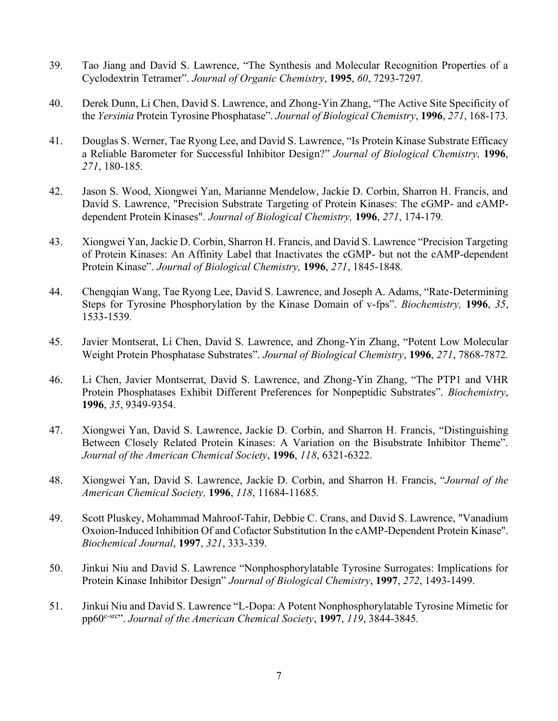- 39. Tao Jiang and David S. Lawrence, "The Synthesis and Molecular Recognition Properties of a Cyclodextrin Tetramer". *Journal of Organic Chemistry*, **1995**, *60*, 7293-7297*.*
- 40. Derek Dunn, Li Chen, David S. Lawrence, and Zhong-Yin Zhang, "The Active Site Specificity of the *Yersinia* Protein Tyrosine Phosphatase". *Journal of Biological Chemistry*, **1996**, *271*, 168-173*.*
- 41. Douglas S. Werner, Tae Ryong Lee, and David S. Lawrence, "Is Protein Kinase Substrate Efficacy a Reliable Barometer for Successful Inhibitor Design?" *Journal of Biological Chemistry,* **1996**, *271*, 180-185*.*
- 42. Jason S. Wood, Xiongwei Yan, Marianne Mendelow, Jackie D. Corbin, Sharron H. Francis, and David S. Lawrence, "Precision Substrate Targeting of Protein Kinases: The cGMP- and cAMPdependent Protein Kinases". *Journal of Biological Chemistry,* **1996**, *271*, 174-179*.*
- 43. Xiongwei Yan, Jackie D. Corbin, Sharron H. Francis, and David S. Lawrence "Precision Targeting of Protein Kinases: An Affinity Label that Inactivates the cGMP- but not the cAMP-dependent Protein Kinase". *Journal of Biological Chemistry,* **1996**, *271*, 1845-1848*.*
- 44. Chengqian Wang, Tae Ryong Lee, David S. Lawrence, and Joseph A. Adams, "Rate-Determining Steps for Tyrosine Phosphorylation by the Kinase Domain of v-fps". *Biochemistry,* **1996**, *35*, 1533-1539*.*
- 45. Javier Montserat, Li Chen, David S. Lawrence, and Zhong-Yin Zhang, "Potent Low Molecular Weight Protein Phosphatase Substrates". *Journal of Biological Chemistry*, **1996**, *271*, 7868-7872*.*
- 46. Li Chen, Javier Montserrat, David S. Lawrence, and Zhong-Yin Zhang, "The PTP1 and VHR Protein Phosphatases Exhibit Different Preferences for Nonpeptidic Substrates". *Biochemistry*, **1996**, *35*, 9349-9354.
- 47. Xiongwei Yan, David S. Lawrence, Jackie D. Corbin, and Sharron H. Francis, "Distinguishing Between Closely Related Protein Kinases: A Variation on the Bisubstrate Inhibitor Theme". *Journal of the American Chemical Society*, **1996**, *118*, 6321-6322.
- 48. Xiongwei Yan, David S. Lawrence, Jackie D. Corbin, and Sharron H. Francis, "*Journal of the American Chemical Society,* **1996**, *118*, 11684-11685*.*
- 49. Scott Pluskey, Mohammad Mahroof-Tahir, Debbie C. Crans, and David S. Lawrence, "Vanadium Oxoion-Induced Inhibition Of and Cofactor Substitution In the cAMP-Dependent Protein Kinase". *Biochemical Journal*, **1997**, *321*, 333-339.
- 50. Jinkui Niu and David S. Lawrence "Nonphosphorylatable Tyrosine Surrogates: Implications for Protein Kinase Inhibitor Design" *Journal of Biological Chemistry*, **1997**, *272*, 1493-1499.
- 51. Jinkui Niu and David S. Lawrence "L-Dopa: A Potent Nonphosphorylatable Tyrosine Mimetic for pp60c-src". *Journal of the American Chemical Society*, **1997**, *119*, 3844-3845*.*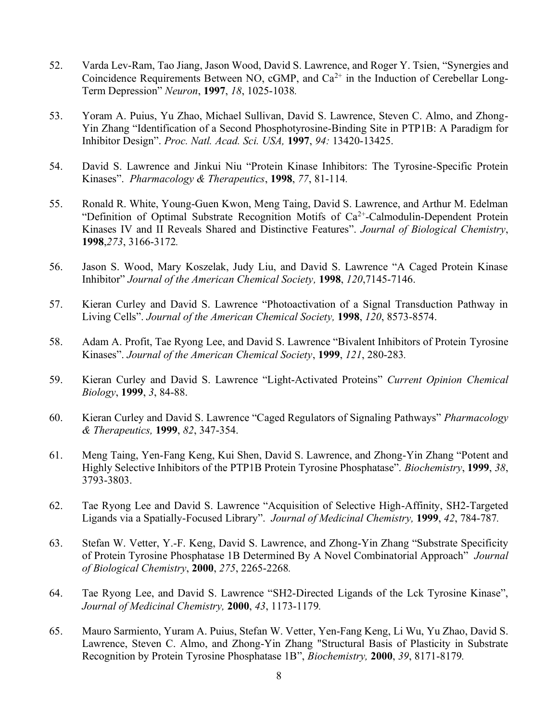- 52. Varda Lev-Ram, Tao Jiang, Jason Wood, David S. Lawrence, and Roger Y. Tsien, "Synergies and Coincidence Requirements Between NO, cGMP, and  $Ca^{2+}$  in the Induction of Cerebellar Long-Term Depression" *Neuron*, **1997**, *18*, 1025-1038*.*
- 53. Yoram A. Puius, Yu Zhao, Michael Sullivan, David S. Lawrence, Steven C. Almo, and Zhong-Yin Zhang "Identification of a Second Phosphotyrosine-Binding Site in PTP1B: A Paradigm for Inhibitor Design". *Proc. Natl. Acad. Sci. USA,* **1997**, *94:* 13420-13425.
- 54. David S. Lawrence and Jinkui Niu "Protein Kinase Inhibitors: The Tyrosine-Specific Protein Kinases". *Pharmacology & Therapeutics*, **1998**, *77*, 81-114*.*
- 55. Ronald R. White, Young-Guen Kwon, Meng Taing, David S. Lawrence, and Arthur M. Edelman "Definition of Optimal Substrate Recognition Motifs of  $Ca<sup>2+</sup>-Calmodulin-Dependent Protein$ Kinases IV and II Reveals Shared and Distinctive Features". *Journal of Biological Chemistry*, **1998**,*273*, 3166-3172*.*
- 56. Jason S. Wood, Mary Koszelak, Judy Liu, and David S. Lawrence "A Caged Protein Kinase Inhibitor" *Journal of the American Chemical Society,* **1998**, *120*,7145-7146.
- 57. Kieran Curley and David S. Lawrence "Photoactivation of a Signal Transduction Pathway in Living Cells". *Journal of the American Chemical Society,* **1998**, *120*, 8573-8574.
- 58. Adam A. Profit, Tae Ryong Lee, and David S. Lawrence "Bivalent Inhibitors of Protein Tyrosine Kinases". *Journal of the American Chemical Society*, **1999**, *121*, 280-283*.*
- 59. Kieran Curley and David S. Lawrence "Light-Activated Proteins" *Current Opinion Chemical Biology*, **1999**, *3*, 84-88.
- 60. Kieran Curley and David S. Lawrence "Caged Regulators of Signaling Pathways" *Pharmacology & Therapeutics,* **1999**, *82*, 347-354.
- 61. Meng Taing, Yen-Fang Keng, Kui Shen, David S. Lawrence, and Zhong-Yin Zhang "Potent and Highly Selective Inhibitors of the PTP1B Protein Tyrosine Phosphatase". *Biochemistry*, **1999**, *38*, 3793-3803.
- 62. Tae Ryong Lee and David S. Lawrence "Acquisition of Selective High-Affinity, SH2-Targeted Ligands via a Spatially-Focused Library". *Journal of Medicinal Chemistry,* **1999**, *42*, 784-787*.*
- 63. Stefan W. Vetter, Y.-F. Keng, David S. Lawrence, and Zhong-Yin Zhang "Substrate Specificity of Protein Tyrosine Phosphatase 1B Determined By A Novel Combinatorial Approach" *Journal of Biological Chemistry*, **2000**, *275*, 2265-2268*.*
- 64. Tae Ryong Lee, and David S. Lawrence "SH2-Directed Ligands of the Lck Tyrosine Kinase", *Journal of Medicinal Chemistry,* **2000**, *43*, 1173-1179*.*
- 65. Mauro Sarmiento, Yuram A. Puius, Stefan W. Vetter, Yen-Fang Keng, Li Wu, Yu Zhao, David S. Lawrence, Steven C. Almo, and Zhong-Yin Zhang "Structural Basis of Plasticity in Substrate Recognition by Protein Tyrosine Phosphatase 1B", *Biochemistry,* **2000**, *39*, 8171-8179*.*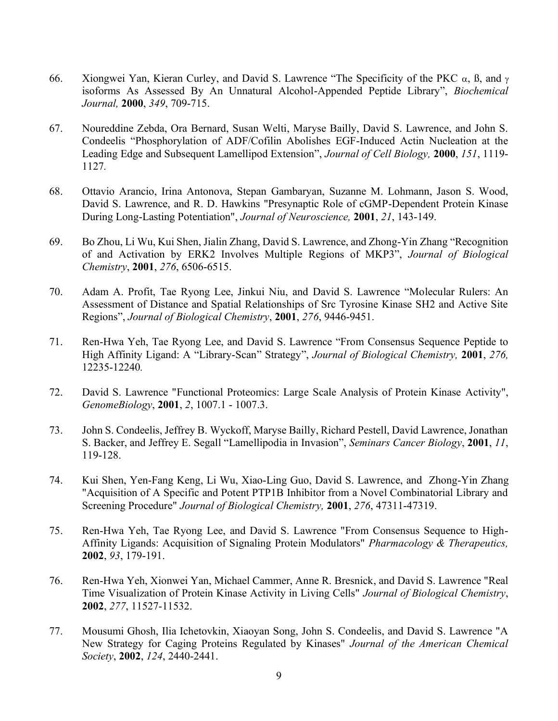- 66. Xiongwei Yan, Kieran Curley, and David S. Lawrence "The Specificity of the PKC  $\alpha$ ,  $\beta$ , and  $\gamma$ isoforms As Assessed By An Unnatural Alcohol-Appended Peptide Library", *Biochemical Journal,* **2000**, *349*, 709-715.
- 67. Noureddine Zebda, Ora Bernard, Susan Welti, Maryse Bailly, David S. Lawrence, and John S. Condeelis "Phosphorylation of ADF/Cofilin Abolishes EGF-Induced Actin Nucleation at the Leading Edge and Subsequent Lamellipod Extension", *Journal of Cell Biology,* **2000**, *151*, 1119- 1127*.*
- 68. Ottavio Arancio, Irina Antonova, Stepan Gambaryan, Suzanne M. Lohmann, Jason S. Wood, David S. Lawrence, and R. D. Hawkins "Presynaptic Role of cGMP-Dependent Protein Kinase During Long-Lasting Potentiation", *Journal of Neuroscience,* **2001**, *21*, 143-149.
- 69. Bo Zhou, Li Wu, Kui Shen, Jialin Zhang, David S. Lawrence, and Zhong-Yin Zhang "Recognition of and Activation by ERK2 Involves Multiple Regions of MKP3", *Journal of Biological Chemistry*, **2001**, *276*, 6506-6515.
- 70. Adam A. Profit, Tae Ryong Lee, Jinkui Niu, and David S. Lawrence "Molecular Rulers: An Assessment of Distance and Spatial Relationships of Src Tyrosine Kinase SH2 and Active Site Regions", *Journal of Biological Chemistry*, **2001**, *276*, 9446-9451.
- 71. Ren-Hwa Yeh, Tae Ryong Lee, and David S. Lawrence "From Consensus Sequence Peptide to High Affinity Ligand: A "Library-Scan" Strategy", *Journal of Biological Chemistry,* **2001**, *276,*  12235-12240*.*
- 72. David S. Lawrence "Functional Proteomics: Large Scale Analysis of Protein Kinase Activity", *GenomeBiology*, **2001**, *2*, 1007.1 - 1007.3.
- 73. John S. Condeelis, Jeffrey B. Wyckoff, Maryse Bailly, Richard Pestell, David Lawrence, Jonathan S. Backer, and Jeffrey E. Segall "Lamellipodia in Invasion", *Seminars Cancer Biology*, **2001**, *11*, 119-128.
- 74. Kui Shen, Yen-Fang Keng, Li Wu, Xiao-Ling Guo, David S. Lawrence, and Zhong-Yin Zhang "Acquisition of A Specific and Potent PTP1B Inhibitor from a Novel Combinatorial Library and Screening Procedure" *Journal of Biological Chemistry,* **2001**, *276*, 47311-47319.
- 75. Ren-Hwa Yeh, Tae Ryong Lee, and David S. Lawrence "From Consensus Sequence to High-Affinity Ligands: Acquisition of Signaling Protein Modulators" *Pharmacology & Therapeutics,*  **2002**, *93*, 179-191.
- 76. Ren-Hwa Yeh, Xionwei Yan, Michael Cammer, Anne R. Bresnick, and David S. Lawrence "Real Time Visualization of Protein Kinase Activity in Living Cells" *Journal of Biological Chemistry*, **2002**, *277*, 11527-11532.
- 77. Mousumi Ghosh, Ilia Ichetovkin, Xiaoyan Song, John S. Condeelis, and David S. Lawrence "A New Strategy for Caging Proteins Regulated by Kinases" *Journal of the American Chemical Society*, **2002**, *124*, 2440-2441.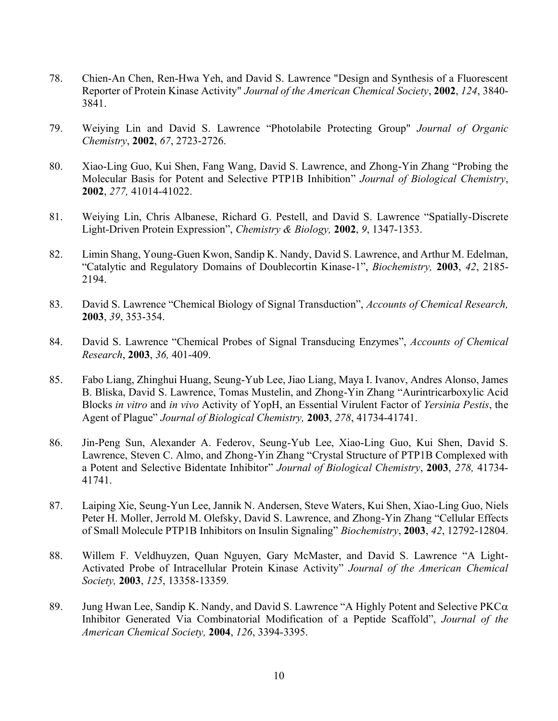- 78. Chien-An Chen, Ren-Hwa Yeh, and David S. Lawrence "Design and Synthesis of a Fluorescent Reporter of Protein Kinase Activity" *Journal of the American Chemical Society*, **2002**, *124*, 3840- 3841.
- 79. Weiying Lin and David S. Lawrence "Photolabile Protecting Group" *Journal of Organic Chemistry*, **2002**, *67*, 2723-2726.
- 80. Xiao-Ling Guo, Kui Shen, Fang Wang, David S. Lawrence, and Zhong-Yin Zhang "Probing the Molecular Basis for Potent and Selective PTP1B Inhibition" *Journal of Biological Chemistry*, **2002**, *277,* 41014-41022.
- 81. Weiying Lin, Chris Albanese, Richard G. Pestell, and David S. Lawrence "Spatially-Discrete Light-Driven Protein Expression", *Chemistry & Biology,* **2002**, *9*, 1347-1353.
- 82. Limin Shang, Young-Guen Kwon, Sandip K. Nandy, David S. Lawrence, and Arthur M. Edelman, "Catalytic and Regulatory Domains of Doublecortin Kinase-1", *Biochemistry,* **2003**, *42*, 2185- 2194.
- 83. David S. Lawrence "Chemical Biology of Signal Transduction", *Accounts of Chemical Research,*  **2003**, *39*, 353-354.
- 84. David S. Lawrence "Chemical Probes of Signal Transducing Enzymes", *Accounts of Chemical Research*, **2003**, *36,* 401-409.
- 85. Fabo Liang, Zhinghui Huang, Seung-Yub Lee, Jiao Liang, Maya I. Ivanov, Andres Alonso, James B. Bliska, David S. Lawrence, Tomas Mustelin, and Zhong-Yin Zhang "Aurintricarboxylic Acid Blocks *in vitro* and *in vivo* Activity of YopH, an Essential Virulent Factor of *Yersinia Pestis*, the Agent of Plague" *Journal of Biological Chemistry,* **2003**, *278*, 41734-41741.
- 86. Jin-Peng Sun, Alexander A. Federov, Seung-Yub Lee, Xiao-Ling Guo, Kui Shen, David S. Lawrence, Steven C. Almo, and Zhong-Yin Zhang "Crystal Structure of PTP1B Complexed with a Potent and Selective Bidentate Inhibitor" *Journal of Biological Chemistry*, **2003**, *278,* 41734- 41741.
- 87. Laiping Xie, Seung-Yun Lee, Jannik N. Andersen, Steve Waters, Kui Shen, Xiao-Ling Guo, Niels Peter H. Moller, Jerrold M. Olefsky, David S. Lawrence, and Zhong-Yin Zhang "Cellular Effects of Small Molecule PTP1B Inhibitors on Insulin Signaling" *Biochemistry*, **2003**, *42*, 12792-12804.
- 88. Willem F. Veldhuyzen, Quan Nguyen, Gary McMaster, and David S. Lawrence "A Light-Activated Probe of Intracellular Protein Kinase Activity" *Journal of the American Chemical Society,* **2003**, *125*, 13358-13359*.*
- 89. Jung Hwan Lee, Sandip K. Nandy, and David S. Lawrence "A Highly Potent and Selective PKC $\alpha$ Inhibitor Generated Via Combinatorial Modification of a Peptide Scaffold", *Journal of the American Chemical Society,* **2004**, *126*, 3394-3395.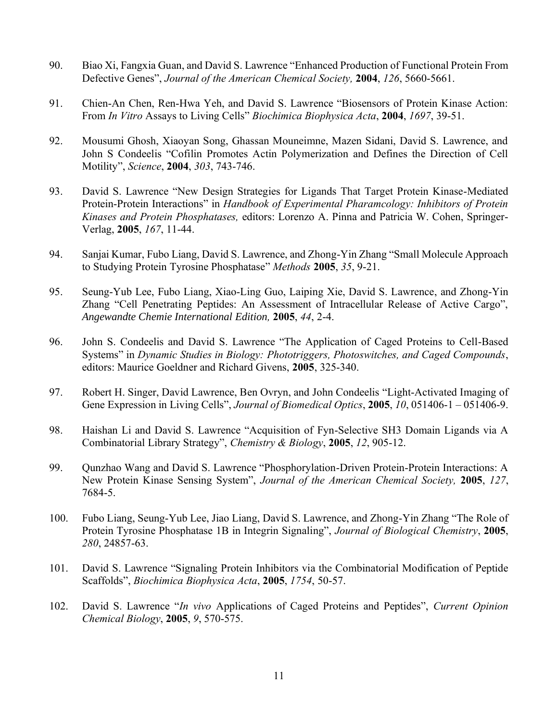- 90. Biao Xi, Fangxia Guan, and David S. Lawrence "Enhanced Production of Functional Protein From Defective Genes", *Journal of the American Chemical Society,* **2004**, *126*, 5660-5661.
- 91. Chien-An Chen, Ren-Hwa Yeh, and David S. Lawrence "Biosensors of Protein Kinase Action: From *In Vitro* Assays to Living Cells" *Biochimica Biophysica Acta*, **2004**, *1697*, 39-51.
- 92. Mousumi Ghosh, Xiaoyan Song, Ghassan Mouneimne, Mazen Sidani, David S. Lawrence, and John S Condeelis "Cofilin Promotes Actin Polymerization and Defines the Direction of Cell Motility", *Science*, **2004**, *303*, 743-746.
- 93. David S. Lawrence "New Design Strategies for Ligands That Target Protein Kinase-Mediated Protein-Protein Interactions" in *Handbook of Experimental Pharamcology: Inhibitors of Protein Kinases and Protein Phosphatases,* editors: Lorenzo A. Pinna and Patricia W. Cohen, Springer-Verlag, **2005**, *167*, 11-44.
- 94. Sanjai Kumar, Fubo Liang, David S. Lawrence, and Zhong-Yin Zhang "Small Molecule Approach to Studying Protein Tyrosine Phosphatase" *Methods* **2005**, *35*, 9-21.
- 95. Seung-Yub Lee, Fubo Liang, Xiao-Ling Guo, Laiping Xie, David S. Lawrence, and Zhong-Yin Zhang "Cell Penetrating Peptides: An Assessment of Intracellular Release of Active Cargo", *Angewandte Chemie International Edition,* **2005**, *44*, 2-4.
- 96. John S. Condeelis and David S. Lawrence "The Application of Caged Proteins to Cell-Based Systems" in *Dynamic Studies in Biology: Phototriggers, Photoswitches, and Caged Compounds*, editors: Maurice Goeldner and Richard Givens, **2005**, 325-340.
- 97. Robert H. Singer, David Lawrence, Ben Ovryn, and John Condeelis "Light-Activated Imaging of Gene Expression in Living Cells", *Journal of Biomedical Optics*, **2005**, *10*, 051406-1 – 051406-9.
- 98. Haishan Li and David S. Lawrence "Acquisition of Fyn-Selective SH3 Domain Ligands via A Combinatorial Library Strategy", *Chemistry & Biology*, **2005**, *12*, 905-12.
- 99. Qunzhao Wang and David S. Lawrence "Phosphorylation-Driven Protein-Protein Interactions: A New Protein Kinase Sensing System", *Journal of the American Chemical Society,* **2005**, *127*, 7684-5.
- 100. Fubo Liang, Seung-Yub Lee, Jiao Liang, David S. Lawrence, and Zhong-Yin Zhang "The Role of Protein Tyrosine Phosphatase 1B in Integrin Signaling", *Journal of Biological Chemistry*, **2005**, *280*, 24857-63.
- 101. David S. Lawrence "Signaling Protein Inhibitors via the Combinatorial Modification of Peptide Scaffolds", *Biochimica Biophysica Acta*, **2005**, *1754*, 50-57.
- 102. David S. Lawrence "*In vivo* Applications of Caged Proteins and Peptides", *Current Opinion Chemical Biology*, **2005**, *9*, 570-575.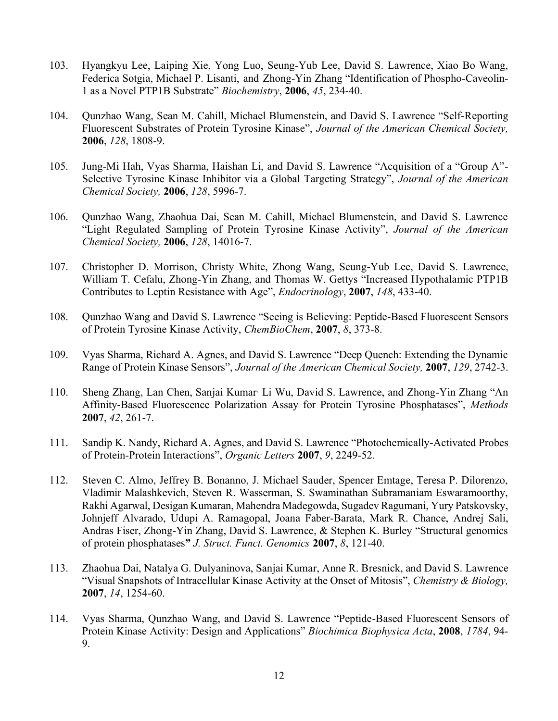- 103. Hyangkyu Lee, Laiping Xie, Yong Luo, Seung-Yub Lee, David S. Lawrence, Xiao Bo Wang, Federica Sotgia, Michael P. Lisanti, and Zhong-Yin Zhang "Identification of Phospho-Caveolin-1 as a Novel PTP1B Substrate" *Biochemistry*, **2006**, *45*, 234-40.
- 104. Qunzhao Wang, Sean M. Cahill, Michael Blumenstein, and David S. Lawrence "Self-Reporting Fluorescent Substrates of Protein Tyrosine Kinase", *Journal of the American Chemical Society,*  **2006**, *128*, 1808-9.
- 105. Jung-Mi Hah, Vyas Sharma, Haishan Li, and David S. Lawrence "Acquisition of a "Group A"- Selective Tyrosine Kinase Inhibitor via a Global Targeting Strategy", *Journal of the American Chemical Society,* **2006**, *128*, 5996-7.
- 106. Qunzhao Wang, Zhaohua Dai, Sean M. Cahill, Michael Blumenstein, and David S. Lawrence "Light Regulated Sampling of Protein Tyrosine Kinase Activity", *Journal of the American Chemical Society,* **2006**, *128*, 14016-7.
- 107. Christopher D. Morrison, Christy White, Zhong Wang, Seung-Yub Lee, David S. Lawrence, William T. Cefalu, Zhong-Yin Zhang, and Thomas W. Gettys "Increased Hypothalamic PTP1B Contributes to Leptin Resistance with Age", *Endocrinology*, **2007**, *148*, 433-40.
- 108. Qunzhao Wang and David S. Lawrence "Seeing is Believing: Peptide-Based Fluorescent Sensors of Protein Tyrosine Kinase Activity, *ChemBioChem*, **2007**, *8*, 373-8.
- 109. Vyas Sharma, Richard A. Agnes, and David S. Lawrence "Deep Quench: Extending the Dynamic Range of Protein Kinase Sensors", *Journal of the American Chemical Society,* **2007**, *129*, 2742-3.
- 110. Sheng Zhang, Lan Chen, Sanjai Kumar, Li Wu, David S. Lawrence, and Zhong-Yin Zhang "An Affinity-Based Fluorescence Polarization Assay for Protein Tyrosine Phosphatases", *Methods* **2007**, *42*, 261-7.
- 111. Sandip K. Nandy, Richard A. Agnes, and David S. Lawrence "Photochemically-Activated Probes of Protein-Protein Interactions", *Organic Letters* **2007**, *9*, 2249-52.
- 112. Steven C. Almo, Jeffrey B. Bonanno, J. Michael Sauder, Spencer Emtage, Teresa P. Dilorenzo, Vladimir Malashkevich, Steven R. Wasserman, S. Swaminathan Subramaniam Eswaramoorthy, Rakhi Agarwal, Desigan Kumaran, Mahendra Madegowda, Sugadev Ragumani, Yury Patskovsky, Johnjeff Alvarado, Udupi A. Ramagopal, Joana Faber-Barata, Mark R. Chance, Andrej Sali, Andras Fiser, Zhong-Yin Zhang, David S. Lawrence, & Stephen K. Burley "Structural genomics of protein phosphatases**"** *J. Struct. Funct. Genomics* **2007**, *8*, 121-40.
- 113. Zhaohua Dai, Natalya G. Dulyaninova, Sanjai Kumar, Anne R. Bresnick, and David S. Lawrence "Visual Snapshots of Intracellular Kinase Activity at the Onset of Mitosis", *Chemistry & Biology,* **2007**, *14*, 1254-60.
- 114. Vyas Sharma, Qunzhao Wang, and David S. Lawrence "Peptide-Based Fluorescent Sensors of Protein Kinase Activity: Design and Applications" *Biochimica Biophysica Acta*, **2008**, *1784*, 94- 9.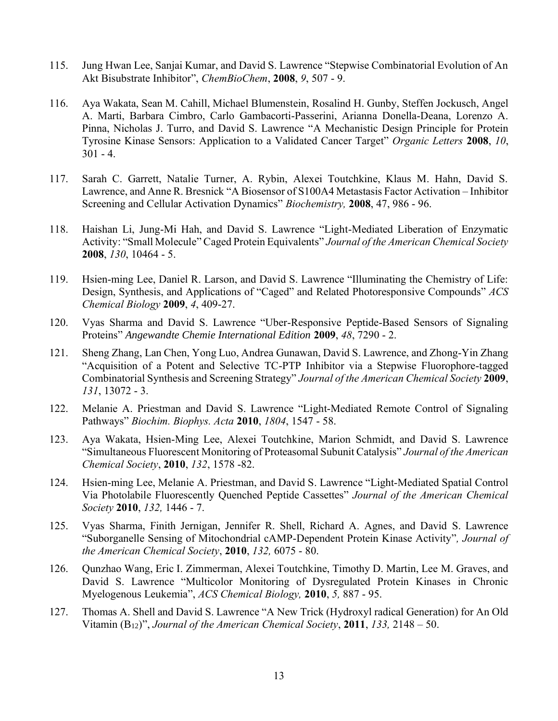- 115. Jung Hwan Lee, Sanjai Kumar, and David S. Lawrence "Stepwise Combinatorial Evolution of An Akt Bisubstrate Inhibitor", *ChemBioChem*, **2008**, *9*, 507 - 9.
- 116. Aya Wakata, Sean M. Cahill, Michael Blumenstein, Rosalind H. Gunby, Steffen Jockusch, Angel A. Marti, Barbara Cimbro, Carlo Gambacorti-Passerini, Arianna Donella-Deana, Lorenzo A. Pinna, Nicholas J. Turro, and David S. Lawrence "A Mechanistic Design Principle for Protein Tyrosine Kinase Sensors: Application to a Validated Cancer Target" *Organic Letters* **2008**, *10*,  $301 - 4.$
- 117. Sarah C. Garrett, Natalie Turner, A. Rybin, Alexei Toutchkine, Klaus M. Hahn, David S. Lawrence, and Anne R. Bresnick "A Biosensor of S100A4 Metastasis Factor Activation – Inhibitor Screening and Cellular Activation Dynamics" *Biochemistry,* **2008**, 47, 986 - 96.
- 118. Haishan Li, Jung-Mi Hah, and David S. Lawrence "Light-Mediated Liberation of Enzymatic Activity: "Small Molecule" Caged Protein Equivalents" *Journal of the American Chemical Society* **2008**, *130*, 10464 - 5.
- 119. Hsien-ming Lee, Daniel R. Larson, and David S. Lawrence "Illuminating the Chemistry of Life: Design, Synthesis, and Applications of "Caged" and Related Photoresponsive Compounds" *ACS Chemical Biology* **2009**, *4*, 409-27.
- 120. Vyas Sharma and David S. Lawrence "Uber-Responsive Peptide-Based Sensors of Signaling Proteins" *Angewandte Chemie International Edition* **2009**, *48*, 7290 - 2.
- 121. Sheng Zhang, Lan Chen, Yong Luo, Andrea Gunawan, David S. Lawrence, and Zhong-Yin Zhang "Acquisition of a Potent and Selective TC-PTP Inhibitor via a Stepwise Fluorophore-tagged Combinatorial Synthesis and Screening Strategy" *Journal of the American Chemical Society* **2009**, *131*, 13072 - 3.
- 122. Melanie A. Priestman and David S. Lawrence "Light-Mediated Remote Control of Signaling Pathways" *Biochim. Biophys. Acta* **2010**, *1804*, 1547 - 58.
- 123. Aya Wakata, Hsien-Ming Lee, Alexei Toutchkine, Marion Schmidt, and David S. Lawrence "Simultaneous Fluorescent Monitoring of Proteasomal Subunit Catalysis" *Journal of the American Chemical Society*, **2010**, *132*, 1578 -82.
- 124. Hsien-ming Lee, Melanie A. Priestman, and David S. Lawrence "Light-Mediated Spatial Control Via Photolabile Fluorescently Quenched Peptide Cassettes" *Journal of the American Chemical Society* **2010**, *132,* 1446 - 7.
- 125. Vyas Sharma, Finith Jernigan, Jennifer R. Shell, Richard A. Agnes, and David S. Lawrence "Suborganelle Sensing of Mitochondrial cAMP-Dependent Protein Kinase Activity"*, Journal of the American Chemical Society*, **2010**, *132,* 6075 - 80.
- 126. Qunzhao Wang, Eric I. Zimmerman, Alexei Toutchkine, Timothy D. Martin, Lee M. Graves, and David S. Lawrence "Multicolor Monitoring of Dysregulated Protein Kinases in Chronic Myelogenous Leukemia", *ACS Chemical Biology,* **2010**, *5,* 887 - 95.
- 127. Thomas A. Shell and David S. Lawrence "A New Trick (Hydroxyl radical Generation) for An Old Vitamin (B12)", *Journal of the American Chemical Society*, **2011**, *133,* 2148 – 50.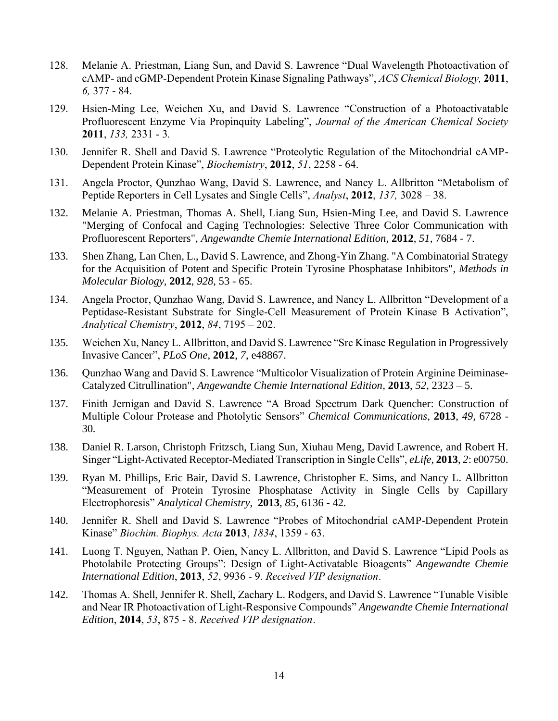- 128. Melanie A. Priestman, Liang Sun, and David S. Lawrence "Dual Wavelength Photoactivation of cAMP- and cGMP-Dependent Protein Kinase Signaling Pathways", *ACS Chemical Biology,* **2011**, *6,* 377 - 84.
- 129. Hsien-Ming Lee, Weichen Xu, and David S. Lawrence "Construction of a Photoactivatable Profluorescent Enzyme Via Propinquity Labeling", *Journal of the American Chemical Society* **2011**, *133,* 2331 - 3*.*
- 130. Jennifer R. Shell and David S. Lawrence "Proteolytic Regulation of the Mitochondrial cAMP-Dependent Protein Kinase", *Biochemistry*, **2012**, *51*, 2258 - 64.
- 131. Angela Proctor, Qunzhao Wang, David S. Lawrence, and Nancy L. Allbritton "Metabolism of Peptide Reporters in Cell Lysates and Single Cells", *Analyst*, **2012**, *137,* 3028 – 38.
- 132. Melanie A. Priestman, Thomas A. Shell, Liang Sun, Hsien-Ming Lee, and David S. Lawrence "Merging of Confocal and Caging Technologies: Selective Three Color Communication with Profluorescent Reporters", *Angewandte Chemie International Edition,* **2012**, *51*, 7684 - 7.
- 133. Shen Zhang, Lan Chen, L., David S. Lawrence, and Zhong-Yin Zhang. "A Combinatorial Strategy for the Acquisition of Potent and Specific Protein Tyrosine Phosphatase Inhibitors", *Methods in Molecular Biology,* **2012**, *928*, 53 - 65.
- 134. Angela Proctor, Qunzhao Wang, David S. Lawrence, and Nancy L. Allbritton "Development of a Peptidase-Resistant Substrate for Single-Cell Measurement of Protein Kinase B Activation", *Analytical Chemistry*, **2012**, *84*, 7195 – 202.
- 135. Weichen Xu, Nancy L. Allbritton, and David S. Lawrence "Src Kinase Regulation in Progressively Invasive Cancer", *PLoS One*, **2012**, *7*, e48867.
- 136. Qunzhao Wang and David S. Lawrence "Multicolor Visualization of Protein Arginine Deiminase-Catalyzed Citrullination", *Angewandte Chemie International Edition,* **2013**, *52*, 2323 – 5.
- 137. Finith Jernigan and David S. Lawrence "A Broad Spectrum Dark Quencher: Construction of Multiple Colour Protease and Photolytic Sensors" *Chemical Communications,* **2013**, *49,* 6728 - 30*.*
- 138. Daniel R. Larson, Christoph Fritzsch, Liang Sun, Xiuhau Meng, David Lawrence, and Robert H. Singer "Light-Activated Receptor-Mediated Transcription in Single Cells", *eLife*, **2013**, *2*: e00750.
- 139. Ryan M. Phillips, Eric Bair, David S. Lawrence, Christopher E. Sims, and Nancy L. Allbritton "Measurement of Protein Tyrosine Phosphatase Activity in Single Cells by Capillary Electrophoresis" *Analytical Chemistry*, **2013**, *85*, 6136 - 42*.*
- 140. Jennifer R. Shell and David S. Lawrence "Probes of Mitochondrial cAMP-Dependent Protein Kinase" *Biochim. Biophys. Acta* **2013**, *1834*, 1359 - 63.
- 141. Luong T. Nguyen, Nathan P. Oien, Nancy L. Allbritton, and David S. Lawrence "Lipid Pools as Photolabile Protecting Groups": Design of Light-Activatable Bioagents" *Angewandte Chemie International Edition*, **2013**, *52*, 9936 - 9. *Received VIP designation*.
- 142. Thomas A. Shell, Jennifer R. Shell, Zachary L. Rodgers, and David S. Lawrence "Tunable Visible and Near IR Photoactivation of Light-Responsive Compounds" *Angewandte Chemie International Edition*, **2014**, *53*, 875 - 8. *Received VIP designation*.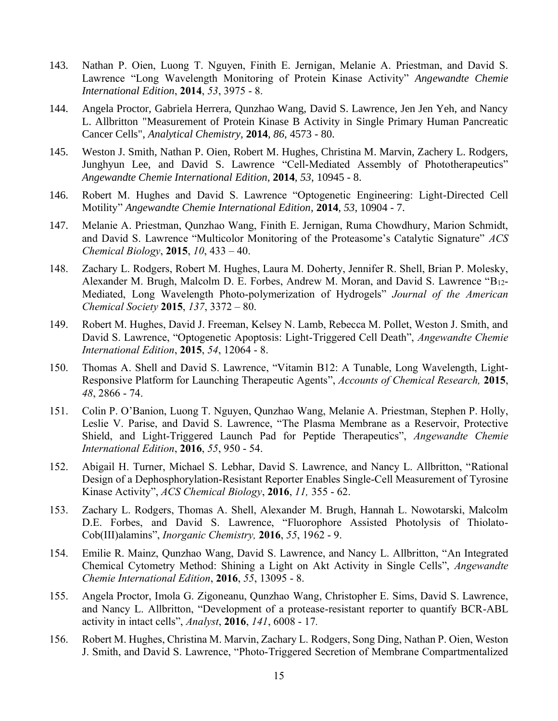- 143. Nathan P. Oien, Luong T. Nguyen, Finith E. Jernigan, Melanie A. Priestman, and David S. Lawrence "Long Wavelength Monitoring of Protein Kinase Activity" *Angewandte Chemie International Edition*, **2014**, *53*, 3975 - 8.
- 144. Angela Proctor, Gabriela Herrera, Qunzhao Wang, David S. Lawrence, Jen Jen Yeh, and Nancy L. Allbritton "Measurement of Protein Kinase B Activity in Single Primary Human Pancreatic Cancer Cells", *Analytical Chemistry,* **2014**, *86*, 4573 - 80.
- 145. Weston J. Smith, Nathan P. Oien, Robert M. Hughes, Christina M. Marvin, Zachery L. Rodgers, Junghyun Lee, and David S. Lawrence "Cell-Mediated Assembly of Phototherapeutics" *Angewandte Chemie International Edition,* **2014**, *53*, 10945 - 8.
- 146. Robert M. Hughes and David S. Lawrence "Optogenetic Engineering: Light-Directed Cell Motility" *Angewandte Chemie International Edition*, **2014**, *53*, 10904 - 7.
- 147. Melanie A. Priestman, Qunzhao Wang, Finith E. Jernigan, Ruma Chowdhury, Marion Schmidt, and David S. Lawrence "Multicolor Monitoring of the Proteasome's Catalytic Signature" *ACS Chemical Biology*, **2015**, *10*, 433 – 40.
- 148. Zachary L. Rodgers, Robert M. Hughes, Laura M. Doherty, Jennifer R. Shell, Brian P. Molesky, Alexander M. Brugh, Malcolm D. E. Forbes, Andrew M. Moran, and David S. Lawrence "B12- Mediated, Long Wavelength Photo-polymerization of Hydrogels" *Journal of the American Chemical Society* **2015**, *137*, 3372 – 80.
- 149. Robert M. Hughes, David J. Freeman, Kelsey N. Lamb, Rebecca M. Pollet, Weston J. Smith, and David S. Lawrence, "Optogenetic Apoptosis: Light-Triggered Cell Death", *Angewandte Chemie International Edition*, **2015**, *54*, 12064 - 8.
- 150. Thomas A. Shell and David S. Lawrence, "Vitamin B12: A Tunable, Long Wavelength, Light-Responsive Platform for Launching Therapeutic Agents", *Accounts of Chemical Research,* **2015**, *48*, 2866 - 74.
- 151. Colin P. O'Banion, Luong T. Nguyen, Qunzhao Wang, Melanie A. Priestman, Stephen P. Holly, Leslie V. Parise, and David S. Lawrence, "The Plasma Membrane as a Reservoir, Protective Shield, and Light-Triggered Launch Pad for Peptide Therapeutics", *Angewandte Chemie International Edition*, **2016**, *55*, 950 - 54.
- 152. Abigail H. Turner, Michael S. Lebhar, David S. Lawrence, and Nancy L. Allbritton, "Rational Design of a Dephosphorylation-Resistant Reporter Enables Single-Cell Measurement of Tyrosine Kinase Activity", *ACS Chemical Biology*, **2016**, *11,* 355 - 62.
- 153. Zachary L. Rodgers, Thomas A. Shell, Alexander M. Brugh, Hannah L. Nowotarski, Malcolm D.E. Forbes, and David S. Lawrence, "Fluorophore Assisted Photolysis of Thiolato-Cob(III)alamins", *Inorganic Chemistry,* **2016**, *55*, 1962 - 9.
- 154. Emilie R. Mainz, Qunzhao Wang, David S. Lawrence, and Nancy L. Allbritton, "An Integrated Chemical Cytometry Method: Shining a Light on Akt Activity in Single Cells", *Angewandte Chemie International Edition*, **2016**, *55*, 13095 - 8.
- 155. Angela Proctor, Imola G. Zigoneanu, Qunzhao Wang, Christopher E. Sims, David S. Lawrence, and Nancy L. Allbritton, "Development of a protease-resistant reporter to quantify BCR-ABL activity in intact cells", *Analyst*, **2016**, *141*, 6008 - 17*.*
- 156. Robert M. Hughes, Christina M. Marvin, Zachary L. Rodgers, Song Ding, Nathan P. Oien, Weston J. Smith, and David S. Lawrence, "Photo-Triggered Secretion of Membrane Compartmentalized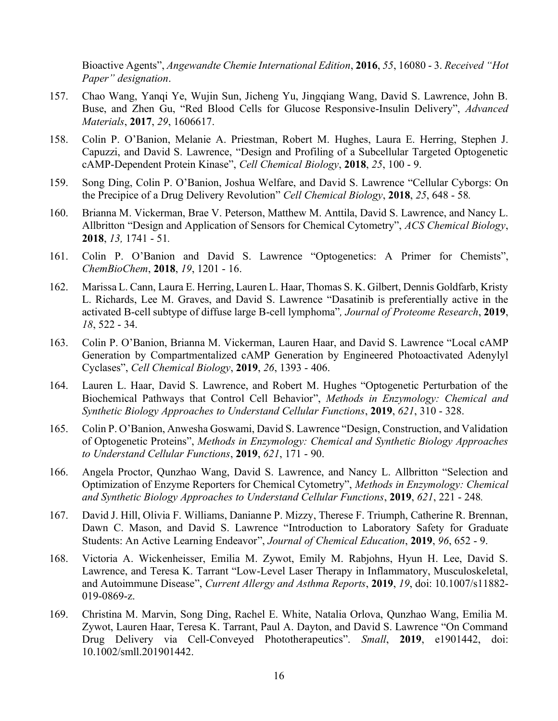Bioactive Agents", *Angewandte Chemie International Edition*, **2016**, *55*, 16080 - 3. *Received "Hot Paper" designation*.

- 157. Chao Wang, Yanqi Ye, Wujin Sun, Jicheng Yu, Jingqiang Wang, David S. Lawrence, John B. Buse, and Zhen Gu, "Red Blood Cells for Glucose Responsive-Insulin Delivery", *Advanced Materials*, **2017**, *29*, 1606617.
- 158. Colin P. O'Banion, Melanie A. Priestman, Robert M. Hughes, Laura E. Herring, Stephen J. Capuzzi, and David S. Lawrence, "Design and Profiling of a Subcellular Targeted Optogenetic cAMP-Dependent Protein Kinase", *Cell Chemical Biology*, **2018**, *25*, 100 - 9.
- 159. Song Ding, Colin P. O'Banion, Joshua Welfare, and David S. Lawrence "Cellular Cyborgs: On the Precipice of a Drug Delivery Revolution" *Cell Chemical Biology*, **2018**, *25*, 648 - 58*.*
- 160. Brianna M. Vickerman, Brae V. Peterson, Matthew M. Anttila, David S. Lawrence, and Nancy L. Allbritton "Design and Application of Sensors for Chemical Cytometry", *ACS Chemical Biology*, **2018**, *13,* 1741 - 51*.*
- 161. Colin P. O'Banion and David S. Lawrence "Optogenetics: A Primer for Chemists", *ChemBioChem*, **2018**, *19*, 1201 - 16.
- 162. Marissa L. Cann, Laura E. Herring, Lauren L. Haar, Thomas S. K. Gilbert, Dennis Goldfarb, Kristy L. Richards, Lee M. Graves, and David S. Lawrence "Dasatinib is preferentially active in the activated B-cell subtype of diffuse large B-cell lymphoma"*, Journal of Proteome Research*, **2019**, *18*, 522 - 34.
- 163. Colin P. O'Banion, Brianna M. Vickerman, Lauren Haar, and David S. Lawrence "Local cAMP Generation by Compartmentalized cAMP Generation by Engineered Photoactivated Adenylyl Cyclases", *Cell Chemical Biology*, **2019**, *26*, 1393 - 406.
- 164. Lauren L. Haar, David S. Lawrence, and Robert M. Hughes "Optogenetic Perturbation of the Biochemical Pathways that Control Cell Behavior", *Methods in Enzymology: Chemical and Synthetic Biology Approaches to Understand Cellular Functions*, **2019**, *621*, 310 - 328.
- 165. Colin P. O'Banion, Anwesha Goswami, David S. Lawrence "Design, Construction, and Validation of Optogenetic Proteins", *Methods in Enzymology: Chemical and Synthetic Biology Approaches to Understand Cellular Functions*, **2019**, *621*, 171 - 90.
- 166. Angela Proctor, Qunzhao Wang, David S. Lawrence, and Nancy L. Allbritton "Selection and Optimization of Enzyme Reporters for Chemical Cytometry", *Methods in Enzymology: Chemical and Synthetic Biology Approaches to Understand Cellular Functions*, **2019**, *621*, 221 - 248*.*
- 167. David J. Hill, Olivia F. Williams, Danianne P. Mizzy, Therese F. Triumph, Catherine R. Brennan, Dawn C. Mason, and David S. Lawrence "Introduction to Laboratory Safety for Graduate Students: An Active Learning Endeavor", *Journal of Chemical Education*, **2019**, *96*, 652 - 9.
- 168. Victoria A. Wickenheisser, Emilia M. Zywot, Emily M. Rabjohns, Hyun H. Lee, David S. Lawrence, and Teresa K. Tarrant "Low-Level Laser Therapy in Inflammatory, Musculoskeletal, and Autoimmune Disease", *Current Allergy and Asthma Reports*, **2019**, *19*, doi: 10.1007/s11882- 019-0869-z.
- 169. Christina M. Marvin, Song Ding, Rachel E. White, Natalia Orlova, Qunzhao Wang, Emilia M. Zywot, Lauren Haar, Teresa K. Tarrant, Paul A. Dayton, and David S. Lawrence "On Command Drug Delivery via Cell-Conveyed Phototherapeutics". *Small*, **2019**, e1901442, doi: 10.1002/smll.201901442.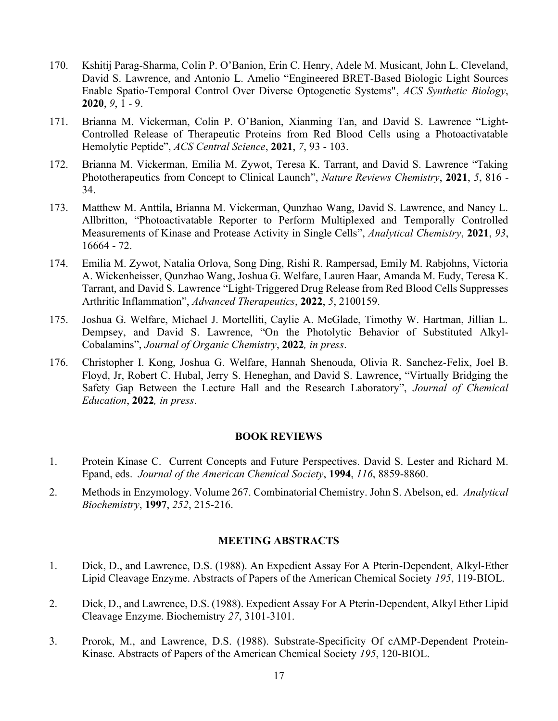- 170. Kshitij Parag-Sharma, Colin P. O'Banion, Erin C. Henry, Adele M. Musicant, John L. Cleveland, David S. Lawrence, and Antonio L. Amelio "Engineered BRET-Based Biologic Light Sources Enable Spatio-Temporal Control Over Diverse Optogenetic Systems", *ACS Synthetic Biology*, **2020**, *9*, 1 - 9.
- 171. Brianna M. Vickerman, Colin P. O'Banion, Xianming Tan, and David S. Lawrence "Light-Controlled Release of Therapeutic Proteins from Red Blood Cells using a Photoactivatable Hemolytic Peptide", *ACS Central Science*, **2021**, *7*, 93 - 103.
- 172. Brianna M. Vickerman, Emilia M. Zywot, Teresa K. Tarrant, and David S. Lawrence "Taking Phototherapeutics from Concept to Clinical Launch", *Nature Reviews Chemistry*, **2021**, *5*, 816 - 34.
- 173. Matthew M. Anttila, Brianna M. Vickerman, Qunzhao Wang, David S. Lawrence, and Nancy L. Allbritton, "Photoactivatable Reporter to Perform Multiplexed and Temporally Controlled Measurements of Kinase and Protease Activity in Single Cells", *Analytical Chemistry*, **2021**, *93*, 16664 - 72.
- 174. Emilia M. Zywot, Natalia Orlova, Song Ding, Rishi R. Rampersad, Emily M. Rabjohns, Victoria A. Wickenheisser, Qunzhao Wang, Joshua G. Welfare, Lauren Haar, Amanda M. Eudy, Teresa K. Tarrant, and David S. Lawrence "Light‐Triggered Drug Release from Red Blood Cells Suppresses Arthritic Inflammation", *Advanced Therapeutics*, **2022**, *5*, 2100159.
- 175. Joshua G. Welfare, Michael J. Mortelliti, Caylie A. McGlade, Timothy W. Hartman, Jillian L. Dempsey, and David S. Lawrence, "On the Photolytic Behavior of Substituted Alkyl-Cobalamins", *Journal of Organic Chemistry*, **2022***, in press*.
- 176. Christopher I. Kong, Joshua G. Welfare, Hannah Shenouda, Olivia R. Sanchez-Felix, Joel B. Floyd, Jr, Robert C. Hubal, Jerry S. Heneghan, and David S. Lawrence, "Virtually Bridging the Safety Gap Between the Lecture Hall and the Research Laboratory", *Journal of Chemical Education*, **2022***, in press*.

#### **BOOK REVIEWS**

- 1. Protein Kinase C. Current Concepts and Future Perspectives. David S. Lester and Richard M. Epand, eds. *Journal of the American Chemical Society*, **1994**, *116*, 8859-8860.
- 2. Methods in Enzymology. Volume 267. Combinatorial Chemistry. John S. Abelson, ed. *Analytical Biochemistry*, **1997**, *252*, 215-216.

### **MEETING ABSTRACTS**

- 1. Dick, D., and Lawrence, D.S. (1988). An Expedient Assay For A Pterin-Dependent, Alkyl-Ether Lipid Cleavage Enzyme. Abstracts of Papers of the American Chemical Society *195*, 119-BIOL.
- 2. Dick, D., and Lawrence, D.S. (1988). Expedient Assay For A Pterin-Dependent, Alkyl Ether Lipid Cleavage Enzyme. Biochemistry *27*, 3101-3101.
- 3. Prorok, M., and Lawrence, D.S. (1988). Substrate-Specificity Of cAMP-Dependent Protein-Kinase. Abstracts of Papers of the American Chemical Society *195*, 120-BIOL.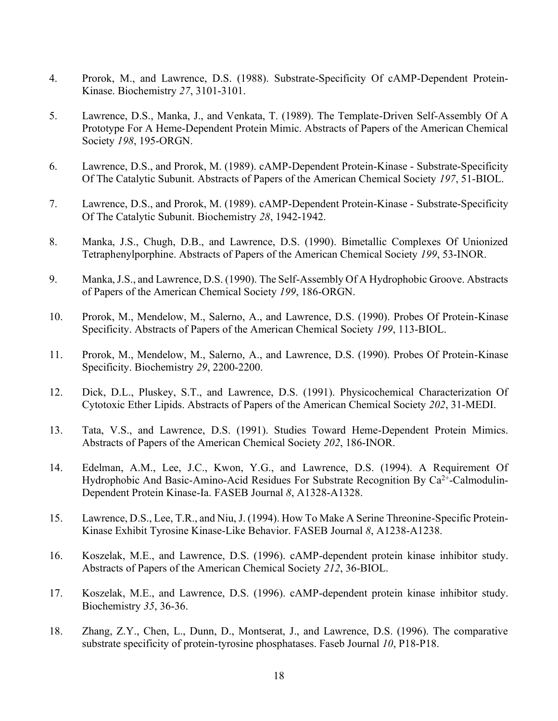- 4. Prorok, M., and Lawrence, D.S. (1988). Substrate-Specificity Of cAMP-Dependent Protein-Kinase. Biochemistry *27*, 3101-3101.
- 5. Lawrence, D.S., Manka, J., and Venkata, T. (1989). The Template-Driven Self-Assembly Of A Prototype For A Heme-Dependent Protein Mimic. Abstracts of Papers of the American Chemical Society *198*, 195-ORGN.
- 6. Lawrence, D.S., and Prorok, M. (1989). cAMP-Dependent Protein-Kinase Substrate-Specificity Of The Catalytic Subunit. Abstracts of Papers of the American Chemical Society *197*, 51-BIOL.
- 7. Lawrence, D.S., and Prorok, M. (1989). cAMP-Dependent Protein-Kinase Substrate-Specificity Of The Catalytic Subunit. Biochemistry *28*, 1942-1942.
- 8. Manka, J.S., Chugh, D.B., and Lawrence, D.S. (1990). Bimetallic Complexes Of Unionized Tetraphenylporphine. Abstracts of Papers of the American Chemical Society *199*, 53-INOR.
- 9. Manka, J.S., and Lawrence, D.S. (1990). The Self-Assembly Of A Hydrophobic Groove. Abstracts of Papers of the American Chemical Society *199*, 186-ORGN.
- 10. Prorok, M., Mendelow, M., Salerno, A., and Lawrence, D.S. (1990). Probes Of Protein-Kinase Specificity. Abstracts of Papers of the American Chemical Society *199*, 113-BIOL.
- 11. Prorok, M., Mendelow, M., Salerno, A., and Lawrence, D.S. (1990). Probes Of Protein-Kinase Specificity. Biochemistry *29*, 2200-2200.
- 12. Dick, D.L., Pluskey, S.T., and Lawrence, D.S. (1991). Physicochemical Characterization Of Cytotoxic Ether Lipids. Abstracts of Papers of the American Chemical Society *202*, 31-MEDI.
- 13. Tata, V.S., and Lawrence, D.S. (1991). Studies Toward Heme-Dependent Protein Mimics. Abstracts of Papers of the American Chemical Society *202*, 186-INOR.
- 14. Edelman, A.M., Lee, J.C., Kwon, Y.G., and Lawrence, D.S. (1994). A Requirement Of Hydrophobic And Basic-Amino-Acid Residues For Substrate Recognition By Ca<sup>2+</sup>-Calmodulin-Dependent Protein Kinase-Ia. FASEB Journal *8*, A1328-A1328.
- 15. Lawrence, D.S., Lee, T.R., and Niu, J. (1994). How To Make A Serine Threonine-Specific Protein-Kinase Exhibit Tyrosine Kinase-Like Behavior. FASEB Journal *8*, A1238-A1238.
- 16. Koszelak, M.E., and Lawrence, D.S. (1996). cAMP-dependent protein kinase inhibitor study. Abstracts of Papers of the American Chemical Society *212*, 36-BIOL.
- 17. Koszelak, M.E., and Lawrence, D.S. (1996). cAMP-dependent protein kinase inhibitor study. Biochemistry *35*, 36-36.
- 18. Zhang, Z.Y., Chen, L., Dunn, D., Montserat, J., and Lawrence, D.S. (1996). The comparative substrate specificity of protein-tyrosine phosphatases. Faseb Journal *10*, P18-P18.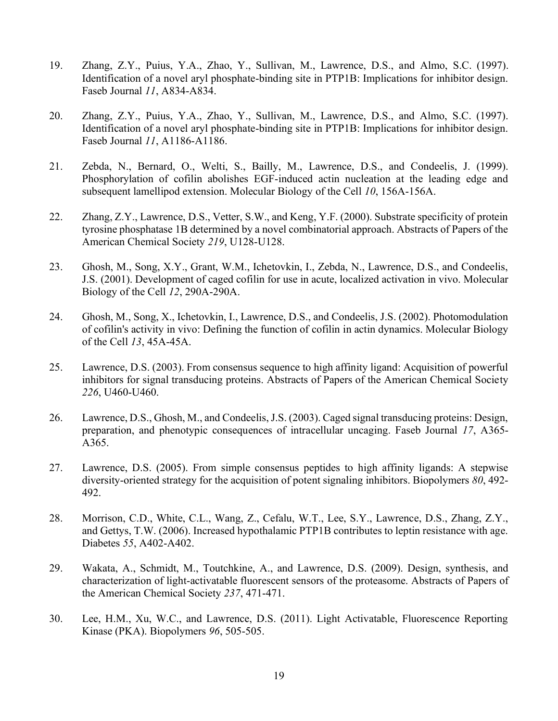- 19. Zhang, Z.Y., Puius, Y.A., Zhao, Y., Sullivan, M., Lawrence, D.S., and Almo, S.C. (1997). Identification of a novel aryl phosphate-binding site in PTP1B: Implications for inhibitor design. Faseb Journal *11*, A834-A834.
- 20. Zhang, Z.Y., Puius, Y.A., Zhao, Y., Sullivan, M., Lawrence, D.S., and Almo, S.C. (1997). Identification of a novel aryl phosphate-binding site in PTP1B: Implications for inhibitor design. Faseb Journal *11*, A1186-A1186.
- 21. Zebda, N., Bernard, O., Welti, S., Bailly, M., Lawrence, D.S., and Condeelis, J. (1999). Phosphorylation of cofilin abolishes EGF-induced actin nucleation at the leading edge and subsequent lamellipod extension. Molecular Biology of the Cell *10*, 156A-156A.
- 22. Zhang, Z.Y., Lawrence, D.S., Vetter, S.W., and Keng, Y.F. (2000). Substrate specificity of protein tyrosine phosphatase 1B determined by a novel combinatorial approach. Abstracts of Papers of the American Chemical Society *219*, U128-U128.
- 23. Ghosh, M., Song, X.Y., Grant, W.M., Ichetovkin, I., Zebda, N., Lawrence, D.S., and Condeelis, J.S. (2001). Development of caged cofilin for use in acute, localized activation in vivo. Molecular Biology of the Cell *12*, 290A-290A.
- 24. Ghosh, M., Song, X., Ichetovkin, I., Lawrence, D.S., and Condeelis, J.S. (2002). Photomodulation of cofilin's activity in vivo: Defining the function of cofilin in actin dynamics. Molecular Biology of the Cell *13*, 45A-45A.
- 25. Lawrence, D.S. (2003). From consensus sequence to high affinity ligand: Acquisition of powerful inhibitors for signal transducing proteins. Abstracts of Papers of the American Chemical Society *226*, U460-U460.
- 26. Lawrence, D.S., Ghosh, M., and Condeelis, J.S. (2003). Caged signal transducing proteins: Design, preparation, and phenotypic consequences of intracellular uncaging. Faseb Journal *17*, A365- A365.
- 27. Lawrence, D.S. (2005). From simple consensus peptides to high affinity ligands: A stepwise diversity-oriented strategy for the acquisition of potent signaling inhibitors. Biopolymers *80*, 492- 492.
- 28. Morrison, C.D., White, C.L., Wang, Z., Cefalu, W.T., Lee, S.Y., Lawrence, D.S., Zhang, Z.Y., and Gettys, T.W. (2006). Increased hypothalamic PTP1B contributes to leptin resistance with age. Diabetes *55*, A402-A402.
- 29. Wakata, A., Schmidt, M., Toutchkine, A., and Lawrence, D.S. (2009). Design, synthesis, and characterization of light-activatable fluorescent sensors of the proteasome. Abstracts of Papers of the American Chemical Society *237*, 471-471.
- 30. Lee, H.M., Xu, W.C., and Lawrence, D.S. (2011). Light Activatable, Fluorescence Reporting Kinase (PKA). Biopolymers *96*, 505-505.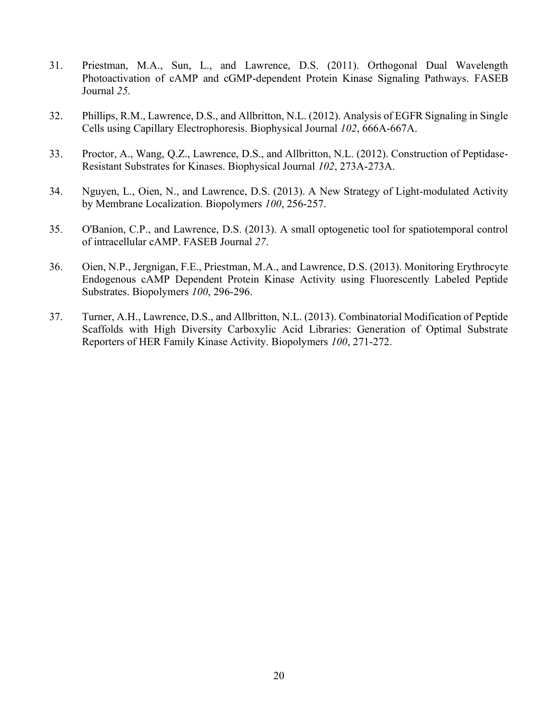- 31. Priestman, M.A., Sun, L., and Lawrence, D.S. (2011). Orthogonal Dual Wavelength Photoactivation of cAMP and cGMP-dependent Protein Kinase Signaling Pathways. FASEB Journal *25*.
- 32. Phillips, R.M., Lawrence, D.S., and Allbritton, N.L. (2012). Analysis of EGFR Signaling in Single Cells using Capillary Electrophoresis. Biophysical Journal *102*, 666A-667A.
- 33. Proctor, A., Wang, Q.Z., Lawrence, D.S., and Allbritton, N.L. (2012). Construction of Peptidase-Resistant Substrates for Kinases. Biophysical Journal *102*, 273A-273A.
- 34. Nguyen, L., Oien, N., and Lawrence, D.S. (2013). A New Strategy of Light-modulated Activity by Membrane Localization. Biopolymers *100*, 256-257.
- 35. O'Banion, C.P., and Lawrence, D.S. (2013). A small optogenetic tool for spatiotemporal control of intracellular cAMP. FASEB Journal *27*.
- 36. Oien, N.P., Jergnigan, F.E., Priestman, M.A., and Lawrence, D.S. (2013). Monitoring Erythrocyte Endogenous cAMP Dependent Protein Kinase Activity using Fluorescently Labeled Peptide Substrates. Biopolymers *100*, 296-296.
- 37. Turner, A.H., Lawrence, D.S., and Allbritton, N.L. (2013). Combinatorial Modification of Peptide Scaffolds with High Diversity Carboxylic Acid Libraries: Generation of Optimal Substrate Reporters of HER Family Kinase Activity. Biopolymers *100*, 271-272.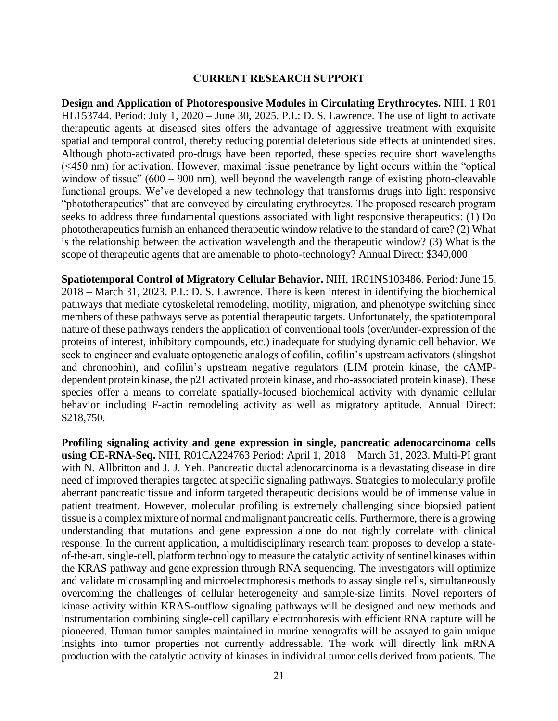#### **CURRENT RESEARCH SUPPORT**

**Design and Application of Photoresponsive Modules in Circulating Erythrocytes.** NIH. 1 R01 HL153744. Period: July 1, 2020 – June 30, 2025. P.I.: D. S. Lawrence. The use of light to activate therapeutic agents at diseased sites offers the advantage of aggressive treatment with exquisite spatial and temporal control, thereby reducing potential deleterious side effects at unintended sites. Although photo-activated pro-drugs have been reported, these species require short wavelengths (<450 nm) for activation. However, maximal tissue penetrance by light occurs within the "optical window of tissue"  $(600 - 900)$  nm), well beyond the wavelength range of existing photo-cleavable functional groups. We've developed a new technology that transforms drugs into light responsive "phototherapeutics" that are conveyed by circulating erythrocytes. The proposed research program seeks to address three fundamental questions associated with light responsive therapeutics: (1) Do phototherapeutics furnish an enhanced therapeutic window relative to the standard of care? (2) What is the relationship between the activation wavelength and the therapeutic window? (3) What is the scope of therapeutic agents that are amenable to photo-technology? Annual Direct: \$340,000

**Spatiotemporal Control of Migratory Cellular Behavior.** NIH, 1R01NS103486. Period: June 15, 2018 – March 31, 2023. P.I.: D. S. Lawrence. There is keen interest in identifying the biochemical pathways that mediate cytoskeletal remodeling, motility, migration, and phenotype switching since members of these pathways serve as potential therapeutic targets. Unfortunately, the spatiotemporal nature of these pathways renders the application of conventional tools (over/under-expression of the proteins of interest, inhibitory compounds, etc.) inadequate for studying dynamic cell behavior. We seek to engineer and evaluate optogenetic analogs of cofilin, cofilin's upstream activators (slingshot and chronophin), and cofilin's upstream negative regulators (LIM protein kinase, the cAMPdependent protein kinase, the p21 activated protein kinase, and rho-associated protein kinase). These species offer a means to correlate spatially-focused biochemical activity with dynamic cellular behavior including F-actin remodeling activity as well as migratory aptitude. Annual Direct: \$218,750.

**Profiling signaling activity and gene expression in single, pancreatic adenocarcinoma cells using CE-RNA-Seq.** NIH, R01CA224763 Period: April 1, 2018 – March 31, 2023. Multi-PI grant with N. Allbritton and J. J. Yeh. Pancreatic ductal adenocarcinoma is a devastating disease in dire need of improved therapies targeted at specific signaling pathways. Strategies to molecularly profile aberrant pancreatic tissue and inform targeted therapeutic decisions would be of immense value in patient treatment. However, molecular profiling is extremely challenging since biopsied patient tissue is a complex mixture of normal and malignant pancreatic cells. Furthermore, there is a growing understanding that mutations and gene expression alone do not tightly correlate with clinical response. In the current application, a multidisciplinary research team proposes to develop a stateof-the-art, single-cell, platform technology to measure the catalytic activity of sentinel kinases within the KRAS pathway and gene expression through RNA sequencing. The investigators will optimize and validate microsampling and microelectrophoresis methods to assay single cells, simultaneously overcoming the challenges of cellular heterogeneity and sample-size limits. Novel reporters of kinase activity within KRAS-outflow signaling pathways will be designed and new methods and instrumentation combining single-cell capillary electrophoresis with efficient RNA capture will be pioneered. Human tumor samples maintained in murine xenografts will be assayed to gain unique insights into tumor properties not currently addressable. The work will directly link mRNA production with the catalytic activity of kinases in individual tumor cells derived from patients. The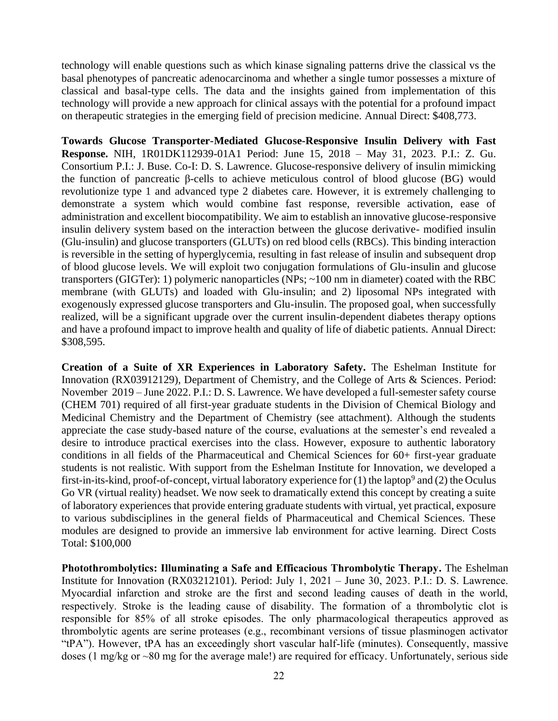technology will enable questions such as which kinase signaling patterns drive the classical vs the basal phenotypes of pancreatic adenocarcinoma and whether a single tumor possesses a mixture of classical and basal-type cells. The data and the insights gained from implementation of this technology will provide a new approach for clinical assays with the potential for a profound impact on therapeutic strategies in the emerging field of precision medicine. Annual Direct: \$408,773.

**Towards Glucose Transporter-Mediated Glucose-Responsive Insulin Delivery with Fast Response.** NIH, 1R01DK112939-01A1 Period: June 15, 2018 – May 31, 2023. P.I.: Z. Gu. Consortium P.I.: J. Buse. Co-I: D. S. Lawrence. Glucose-responsive delivery of insulin mimicking the function of pancreatic β-cells to achieve meticulous control of blood glucose (BG) would revolutionize type 1 and advanced type 2 diabetes care. However, it is extremely challenging to demonstrate a system which would combine fast response, reversible activation, ease of administration and excellent biocompatibility. We aim to establish an innovative glucose-responsive insulin delivery system based on the interaction between the glucose derivative- modified insulin (Glu-insulin) and glucose transporters (GLUTs) on red blood cells (RBCs). This binding interaction is reversible in the setting of hyperglycemia, resulting in fast release of insulin and subsequent drop of blood glucose levels. We will exploit two conjugation formulations of Glu-insulin and glucose transporters (GIGTer): 1) polymeric nanoparticles (NPs; ~100 nm in diameter) coated with the RBC membrane (with GLUTs) and loaded with Glu-insulin; and 2) liposomal NPs integrated with exogenously expressed glucose transporters and Glu-insulin. The proposed goal, when successfully realized, will be a significant upgrade over the current insulin-dependent diabetes therapy options and have a profound impact to improve health and quality of life of diabetic patients. Annual Direct: \$308,595.

**Creation of a Suite of XR Experiences in Laboratory Safety.** The Eshelman Institute for Innovation (RX03912129), Department of Chemistry, and the College of Arts & Sciences. Period: November 2019 – June 2022. P.I.: D. S. Lawrence. We have developed a full-semester safety course (CHEM 701) required of all first-year graduate students in the Division of Chemical Biology and Medicinal Chemistry and the Department of Chemistry (see attachment). Although the students appreciate the case study-based nature of the course, evaluations at the semester's end revealed a desire to introduce practical exercises into the class. However, exposure to authentic laboratory conditions in all fields of the Pharmaceutical and Chemical Sciences for 60+ first-year graduate students is not realistic. With support from the Eshelman Institute for Innovation, we developed a first-in-its-kind, proof-of-concept, virtual laboratory experience for  $(1)$  the laptop<sup>9</sup> and  $(2)$  the Oculus Go VR (virtual reality) headset. We now seek to dramatically extend this concept by creating a suite of laboratory experiences that provide entering graduate students with virtual, yet practical, exposure to various subdisciplines in the general fields of Pharmaceutical and Chemical Sciences. These modules are designed to provide an immersive lab environment for active learning. Direct Costs Total: \$100,000

**Photothrombolytics: Illuminating a Safe and Efficacious Thrombolytic Therapy.** The Eshelman Institute for Innovation (RX03212101). Period: July 1, 2021 – June 30, 2023. P.I.: D. S. Lawrence. Myocardial infarction and stroke are the first and second leading causes of death in the world, respectively. Stroke is the leading cause of disability. The formation of a thrombolytic clot is responsible for 85% of all stroke episodes. The only pharmacological therapeutics approved as thrombolytic agents are serine proteases (e.g., recombinant versions of tissue plasminogen activator "tPA"). However, tPA has an exceedingly short vascular half-life (minutes). Consequently, massive doses (1 mg/kg or ~80 mg for the average male!) are required for efficacy. Unfortunately, serious side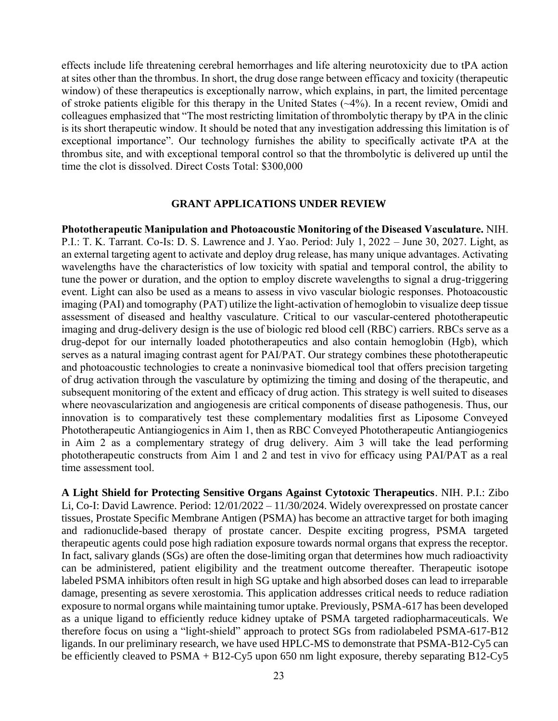effects include life threatening cerebral hemorrhages and life altering neurotoxicity due to tPA action at sites other than the thrombus. In short, the drug dose range between efficacy and toxicity (therapeutic window) of these therapeutics is exceptionally narrow, which explains, in part, the limited percentage of stroke patients eligible for this therapy in the United States (~4%). In a recent review, Omidi and colleagues emphasized that "The most restricting limitation of thrombolytic therapy by tPA in the clinic is its short therapeutic window. It should be noted that any investigation addressing this limitation is of exceptional importance". Our technology furnishes the ability to specifically activate tPA at the thrombus site, and with exceptional temporal control so that the thrombolytic is delivered up until the time the clot is dissolved. Direct Costs Total: \$300,000

#### **GRANT APPLICATIONS UNDER REVIEW**

**Phototherapeutic Manipulation and Photoacoustic Monitoring of the Diseased Vasculature.** NIH. P.I.: T. K. Tarrant. Co-Is: D. S. Lawrence and J. Yao. Period: July 1, 2022 – June 30, 2027. Light, as an external targeting agent to activate and deploy drug release, has many unique advantages. Activating wavelengths have the characteristics of low toxicity with spatial and temporal control, the ability to tune the power or duration, and the option to employ discrete wavelengths to signal a drug-triggering event. Light can also be used as a means to assess in vivo vascular biologic responses. Photoacoustic imaging (PAI) and tomography (PAT) utilize the light-activation of hemoglobin to visualize deep tissue assessment of diseased and healthy vasculature. Critical to our vascular-centered phototherapeutic imaging and drug-delivery design is the use of biologic red blood cell (RBC) carriers. RBCs serve as a drug-depot for our internally loaded phototherapeutics and also contain hemoglobin (Hgb), which serves as a natural imaging contrast agent for PAI/PAT. Our strategy combines these phototherapeutic and photoacoustic technologies to create a noninvasive biomedical tool that offers precision targeting of drug activation through the vasculature by optimizing the timing and dosing of the therapeutic, and subsequent monitoring of the extent and efficacy of drug action. This strategy is well suited to diseases where neovascularization and angiogenesis are critical components of disease pathogenesis. Thus, our innovation is to comparatively test these complementary modalities first as Liposome Conveyed Phototherapeutic Antiangiogenics in Aim 1, then as RBC Conveyed Phototherapeutic Antiangiogenics in Aim 2 as a complementary strategy of drug delivery. Aim 3 will take the lead performing phototherapeutic constructs from Aim 1 and 2 and test in vivo for efficacy using PAI/PAT as a real time assessment tool.

**A Light Shield for Protecting Sensitive Organs Against Cytotoxic Therapeutics**. NIH. P.I.: Zibo Li, Co-I: David Lawrence. Period: 12/01/2022 – 11/30/2024. Widely overexpressed on prostate cancer tissues, Prostate Specific Membrane Antigen (PSMA) has become an attractive target for both imaging and radionuclide-based therapy of prostate cancer. Despite exciting progress, PSMA targeted therapeutic agents could pose high radiation exposure towards normal organs that express the receptor. In fact, salivary glands (SGs) are often the dose-limiting organ that determines how much radioactivity can be administered, patient eligibility and the treatment outcome thereafter. Therapeutic isotope labeled PSMA inhibitors often result in high SG uptake and high absorbed doses can lead to irreparable damage, presenting as severe xerostomia. This application addresses critical needs to reduce radiation exposure to normal organs while maintaining tumor uptake. Previously, PSMA-617 has been developed as a unique ligand to efficiently reduce kidney uptake of PSMA targeted radiopharmaceuticals. We therefore focus on using a "light-shield" approach to protect SGs from radiolabeled PSMA-617-B12 ligands. In our preliminary research, we have used HPLC-MS to demonstrate that PSMA-B12-Cy5 can be efficiently cleaved to PSMA + B12-Cy5 upon 650 nm light exposure, thereby separating B12-Cy5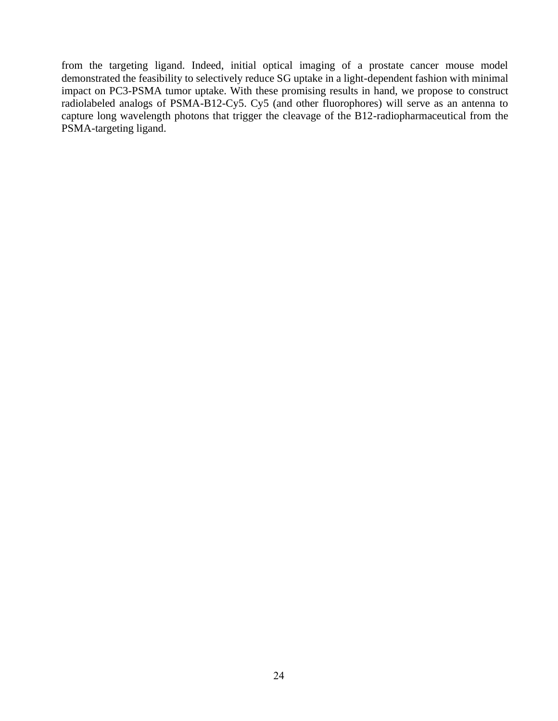from the targeting ligand. Indeed, initial optical imaging of a prostate cancer mouse model demonstrated the feasibility to selectively reduce SG uptake in a light-dependent fashion with minimal impact on PC3-PSMA tumor uptake. With these promising results in hand, we propose to construct radiolabeled analogs of PSMA-B12-Cy5. Cy5 (and other fluorophores) will serve as an antenna to capture long wavelength photons that trigger the cleavage of the B12-radiopharmaceutical from the PSMA-targeting ligand.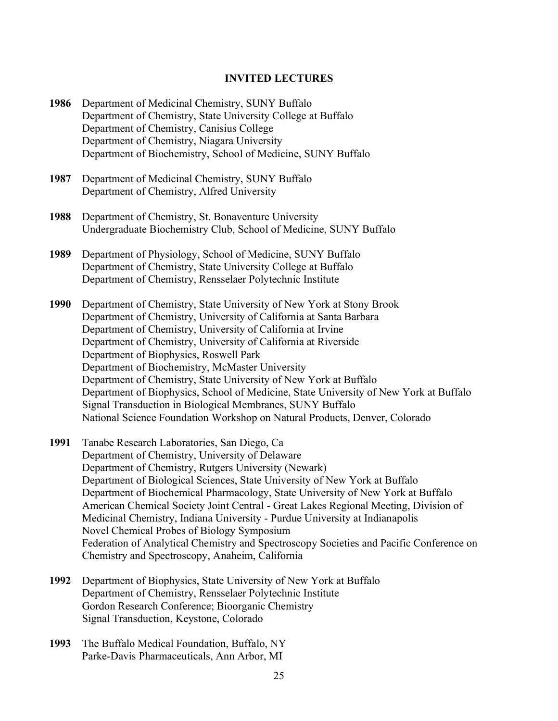### **INVITED LECTURES**

- **1986** Department of Medicinal Chemistry, SUNY Buffalo Department of Chemistry, State University College at Buffalo Department of Chemistry, Canisius College Department of Chemistry, Niagara University Department of Biochemistry, School of Medicine, SUNY Buffalo
- **1987** Department of Medicinal Chemistry, SUNY Buffalo Department of Chemistry, Alfred University
- **1988** Department of Chemistry, St. Bonaventure University Undergraduate Biochemistry Club, School of Medicine, SUNY Buffalo
- **1989** Department of Physiology, School of Medicine, SUNY Buffalo Department of Chemistry, State University College at Buffalo Department of Chemistry, Rensselaer Polytechnic Institute

**1990** Department of Chemistry, State University of New York at Stony Brook Department of Chemistry, University of California at Santa Barbara Department of Chemistry, University of California at Irvine Department of Chemistry, University of California at Riverside Department of Biophysics, Roswell Park Department of Biochemistry, McMaster University Department of Chemistry, State University of New York at Buffalo Department of Biophysics, School of Medicine, State University of New York at Buffalo Signal Transduction in Biological Membranes, SUNY Buffalo National Science Foundation Workshop on Natural Products, Denver, Colorado

- **1991** Tanabe Research Laboratories, San Diego, Ca Department of Chemistry, University of Delaware Department of Chemistry, Rutgers University (Newark) Department of Biological Sciences, State University of New York at Buffalo Department of Biochemical Pharmacology, State University of New York at Buffalo American Chemical Society Joint Central - Great Lakes Regional Meeting, Division of Medicinal Chemistry, Indiana University - Purdue University at Indianapolis Novel Chemical Probes of Biology Symposium Federation of Analytical Chemistry and Spectroscopy Societies and Pacific Conference on Chemistry and Spectroscopy, Anaheim, California
- **1992** Department of Biophysics, State University of New York at Buffalo Department of Chemistry, Rensselaer Polytechnic Institute Gordon Research Conference; Bioorganic Chemistry Signal Transduction, Keystone, Colorado
- **1993** The Buffalo Medical Foundation, Buffalo, NY Parke-Davis Pharmaceuticals, Ann Arbor, MI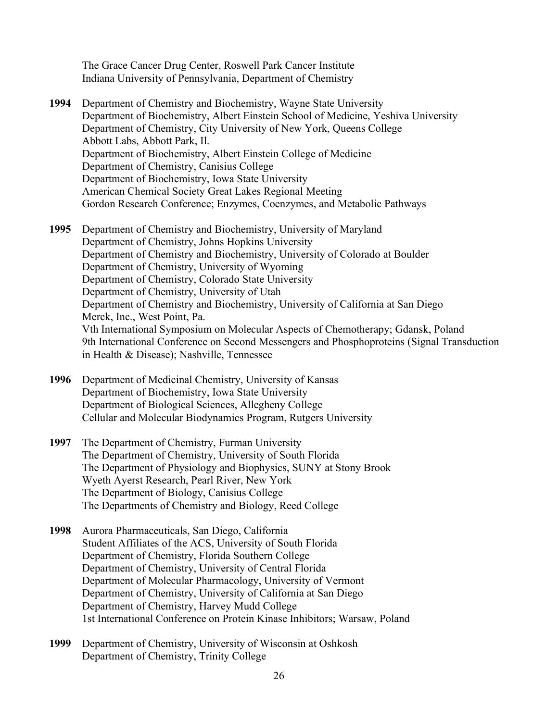The Grace Cancer Drug Center, Roswell Park Cancer Institute Indiana University of Pennsylvania, Department of Chemistry

- **1994** Department of Chemistry and Biochemistry, Wayne State University Department of Biochemistry, Albert Einstein School of Medicine, Yeshiva University Department of Chemistry, City University of New York, Queens College Abbott Labs, Abbott Park, Il. Department of Biochemistry, Albert Einstein College of Medicine Department of Chemistry, Canisius College Department of Biochemistry, Iowa State University American Chemical Society Great Lakes Regional Meeting Gordon Research Conference; Enzymes, Coenzymes, and Metabolic Pathways
- **1995** Department of Chemistry and Biochemistry, University of Maryland Department of Chemistry, Johns Hopkins University Department of Chemistry and Biochemistry, University of Colorado at Boulder Department of Chemistry, University of Wyoming Department of Chemistry, Colorado State University Department of Chemistry, University of Utah Department of Chemistry and Biochemistry, University of California at San Diego Merck, Inc., West Point, Pa. Vth International Symposium on Molecular Aspects of Chemotherapy; Gdansk, Poland 9th International Conference on Second Messengers and Phosphoproteins (Signal Transduction in Health & Disease); Nashville, Tennessee
- **1996** Department of Medicinal Chemistry, University of Kansas Department of Biochemistry, Iowa State University Department of Biological Sciences, Allegheny College Cellular and Molecular Biodynamics Program, Rutgers University
- **1997** The Department of Chemistry, Furman University The Department of Chemistry, University of South Florida The Department of Physiology and Biophysics, SUNY at Stony Brook Wyeth Ayerst Research, Pearl River, New York The Department of Biology, Canisius College The Departments of Chemistry and Biology, Reed College
- **1998** Aurora Pharmaceuticals, San Diego, California Student Affiliates of the ACS, University of South Florida Department of Chemistry, Florida Southern College Department of Chemistry, University of Central Florida Department of Molecular Pharmacology, University of Vermont Department of Chemistry, University of California at San Diego Department of Chemistry, Harvey Mudd College 1st International Conference on Protein Kinase Inhibitors; Warsaw, Poland
- **1999** Department of Chemistry, University of Wisconsin at Oshkosh Department of Chemistry, Trinity College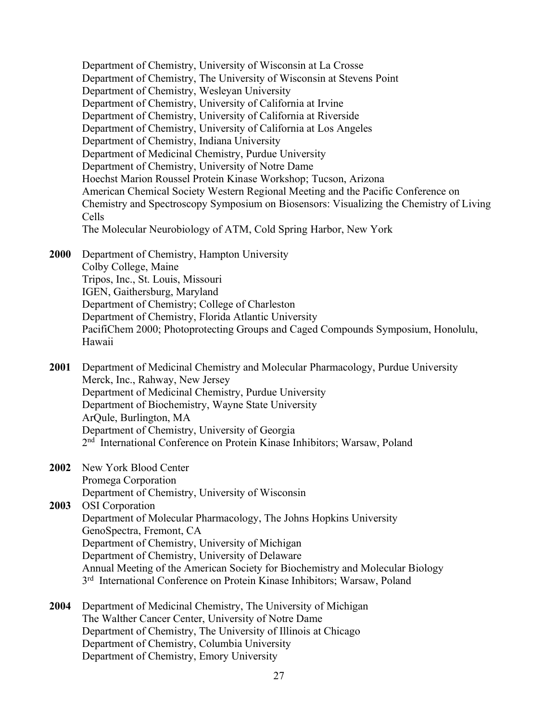Department of Chemistry, University of Wisconsin at La Crosse Department of Chemistry, The University of Wisconsin at Stevens Point Department of Chemistry, Wesleyan University Department of Chemistry, University of California at Irvine Department of Chemistry, University of California at Riverside Department of Chemistry, University of California at Los Angeles Department of Chemistry, Indiana University Department of Medicinal Chemistry, Purdue University Department of Chemistry, University of Notre Dame Hoechst Marion Roussel Protein Kinase Workshop; Tucson, Arizona American Chemical Society Western Regional Meeting and the Pacific Conference on Chemistry and Spectroscopy Symposium on Biosensors: Visualizing the Chemistry of Living Cells The Molecular Neurobiology of ATM, Cold Spring Harbor, New York

**2000** Department of Chemistry, Hampton University Colby College, Maine Tripos, Inc., St. Louis, Missouri IGEN, Gaithersburg, Maryland Department of Chemistry; College of Charleston Department of Chemistry, Florida Atlantic University PacifiChem 2000; Photoprotecting Groups and Caged Compounds Symposium, Honolulu, Hawaii

**2001** Department of Medicinal Chemistry and Molecular Pharmacology, Purdue University Merck, Inc., Rahway, New Jersey Department of Medicinal Chemistry, Purdue University Department of Biochemistry, Wayne State University ArQule, Burlington, MA Department of Chemistry, University of Georgia 2<sup>nd</sup> International Conference on Protein Kinase Inhibitors; Warsaw, Poland

- **2002** New York Blood Center
- Promega Corporation

Department of Chemistry, University of Wisconsin

**2003** OSI Corporation Department of Molecular Pharmacology, The Johns Hopkins University GenoSpectra, Fremont, CA Department of Chemistry, University of Michigan Department of Chemistry, University of Delaware Annual Meeting of the American Society for Biochemistry and Molecular Biology 3<sup>rd</sup> International Conference on Protein Kinase Inhibitors; Warsaw, Poland

**2004** Department of Medicinal Chemistry, The University of Michigan The Walther Cancer Center, University of Notre Dame Department of Chemistry, The University of Illinois at Chicago Department of Chemistry, Columbia University Department of Chemistry, Emory University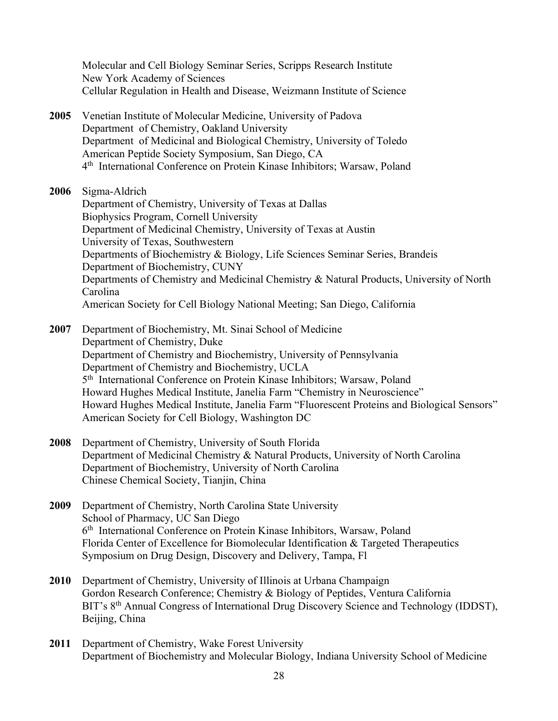Molecular and Cell Biology Seminar Series, Scripps Research Institute New York Academy of Sciences Cellular Regulation in Health and Disease, Weizmann Institute of Science

**2005** Venetian Institute of Molecular Medicine, University of Padova Department of Chemistry, Oakland University Department of Medicinal and Biological Chemistry, University of Toledo American Peptide Society Symposium, San Diego, CA 4 th International Conference on Protein Kinase Inhibitors; Warsaw, Poland

**2006** Sigma-Aldrich

Department of Chemistry, University of Texas at Dallas Biophysics Program, Cornell University Department of Medicinal Chemistry, University of Texas at Austin University of Texas, Southwestern Departments of Biochemistry & Biology, Life Sciences Seminar Series, Brandeis Department of Biochemistry, CUNY Departments of Chemistry and Medicinal Chemistry & Natural Products, University of North Carolina American Society for Cell Biology National Meeting; San Diego, California

**2007** Department of Biochemistry, Mt. Sinai School of Medicine Department of Chemistry, Duke Department of Chemistry and Biochemistry, University of Pennsylvania Department of Chemistry and Biochemistry, UCLA 5 th International Conference on Protein Kinase Inhibitors; Warsaw, Poland Howard Hughes Medical Institute, Janelia Farm "Chemistry in Neuroscience" Howard Hughes Medical Institute, Janelia Farm "Fluorescent Proteins and Biological Sensors" American Society for Cell Biology, Washington DC

- **2008** Department of Chemistry, University of South Florida Department of Medicinal Chemistry & Natural Products, University of North Carolina Department of Biochemistry, University of North Carolina Chinese Chemical Society, Tianjin, China
- **2009** Department of Chemistry, North Carolina State University School of Pharmacy, UC San Diego 6 th International Conference on Protein Kinase Inhibitors, Warsaw, Poland Florida Center of Excellence for Biomolecular Identification & Targeted Therapeutics Symposium on Drug Design, Discovery and Delivery, Tampa, Fl
- **2010** Department of Chemistry, University of Illinois at Urbana Champaign Gordon Research Conference; Chemistry & Biology of Peptides, Ventura California BIT's 8<sup>th</sup> Annual Congress of International Drug Discovery Science and Technology (IDDST), Beijing, China
- **2011** Department of Chemistry, Wake Forest University Department of Biochemistry and Molecular Biology, Indiana University School of Medicine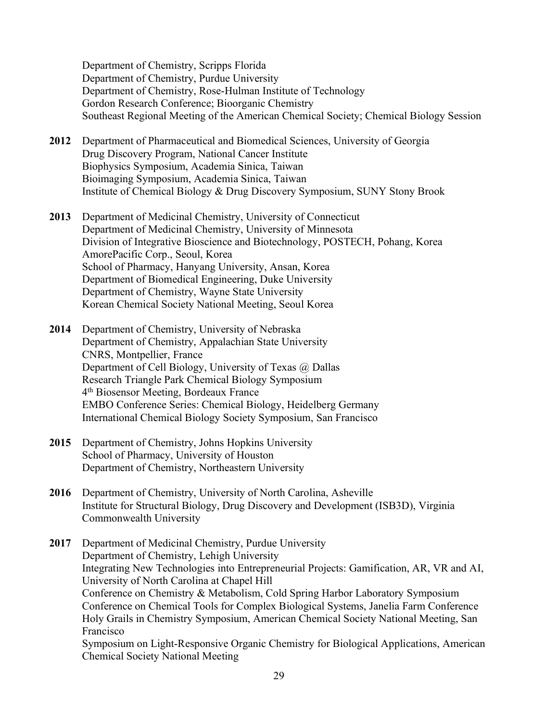Department of Chemistry, Scripps Florida Department of Chemistry, Purdue University Department of Chemistry, Rose-Hulman Institute of Technology Gordon Research Conference; Bioorganic Chemistry Southeast Regional Meeting of the American Chemical Society; Chemical Biology Session

- **2012** Department of Pharmaceutical and Biomedical Sciences, University of Georgia Drug Discovery Program, National Cancer Institute Biophysics Symposium, Academia Sinica, Taiwan Bioimaging Symposium, Academia Sinica, Taiwan Institute of Chemical Biology & Drug Discovery Symposium, SUNY Stony Brook
- **2013** Department of Medicinal Chemistry, University of Connecticut Department of Medicinal Chemistry, University of Minnesota Division of Integrative Bioscience and Biotechnology, POSTECH, Pohang, Korea AmorePacific Corp., Seoul, Korea School of Pharmacy, Hanyang University, Ansan, Korea Department of Biomedical Engineering, Duke University Department of Chemistry, Wayne State University Korean Chemical Society National Meeting, Seoul Korea
- **2014** Department of Chemistry, University of Nebraska Department of Chemistry, Appalachian State University CNRS, Montpellier, France Department of Cell Biology, University of Texas @ Dallas Research Triangle Park Chemical Biology Symposium 4 th Biosensor Meeting, Bordeaux France EMBO Conference Series: Chemical Biology, Heidelberg Germany International Chemical Biology Society Symposium, San Francisco
- **2015** Department of Chemistry, Johns Hopkins University School of Pharmacy, University of Houston Department of Chemistry, Northeastern University
- **2016** Department of Chemistry, University of North Carolina, Asheville Institute for Structural Biology, Drug Discovery and Development (ISB3D), Virginia Commonwealth University
- **2017** Department of Medicinal Chemistry, Purdue University Department of Chemistry, Lehigh University Integrating New Technologies into Entrepreneurial Projects: Gamification, AR, VR and AI, University of North Carolina at Chapel Hill Conference on Chemistry & Metabolism, Cold Spring Harbor Laboratory Symposium Conference on Chemical Tools for Complex Biological Systems, Janelia Farm Conference Holy Grails in Chemistry Symposium, American Chemical Society National Meeting, San Francisco Symposium on Light-Responsive Organic Chemistry for Biological Applications, American Chemical Society National Meeting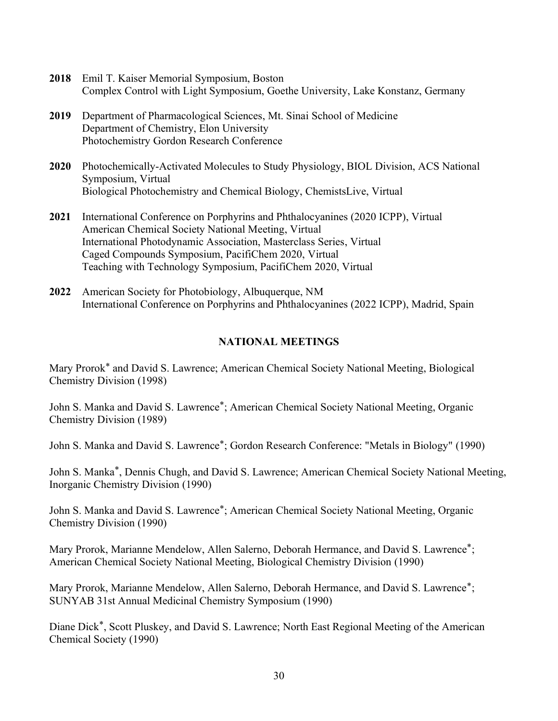- **2018** Emil T. Kaiser Memorial Symposium, Boston Complex Control with Light Symposium, Goethe University, Lake Konstanz, Germany
- **2019** Department of Pharmacological Sciences, Mt. Sinai School of Medicine Department of Chemistry, Elon University Photochemistry Gordon Research Conference
- **2020** Photochemically-Activated Molecules to Study Physiology, BIOL Division, ACS National Symposium, Virtual Biological Photochemistry and Chemical Biology, ChemistsLive, Virtual
- **2021** International Conference on Porphyrins and Phthalocyanines (2020 ICPP), Virtual American Chemical Society National Meeting, Virtual International Photodynamic Association, Masterclass Series, Virtual Caged Compounds Symposium, PacifiChem 2020, Virtual Teaching with Technology Symposium, PacifiChem 2020, Virtual
- **2022** American Society for Photobiology, Albuquerque, NM International Conference on Porphyrins and Phthalocyanines (2022 ICPP), Madrid, Spain

# **NATIONAL MEETINGS**

Mary Prorok\* and David S. Lawrence; American Chemical Society National Meeting, Biological Chemistry Division (1998)

John S. Manka and David S. Lawrence\*; American Chemical Society National Meeting, Organic Chemistry Division (1989)

John S. Manka and David S. Lawrence\*; Gordon Research Conference: "Metals in Biology" (1990)

John S. Manka\*, Dennis Chugh, and David S. Lawrence; American Chemical Society National Meeting, Inorganic Chemistry Division (1990)

John S. Manka and David S. Lawrence\*; American Chemical Society National Meeting, Organic Chemistry Division (1990)

Mary Prorok, Marianne Mendelow, Allen Salerno, Deborah Hermance, and David S. Lawrence\*; American Chemical Society National Meeting, Biological Chemistry Division (1990)

Mary Prorok, Marianne Mendelow, Allen Salerno, Deborah Hermance, and David S. Lawrence\*; SUNYAB 31st Annual Medicinal Chemistry Symposium (1990)

Diane Dick\*, Scott Pluskey, and David S. Lawrence; North East Regional Meeting of the American Chemical Society (1990)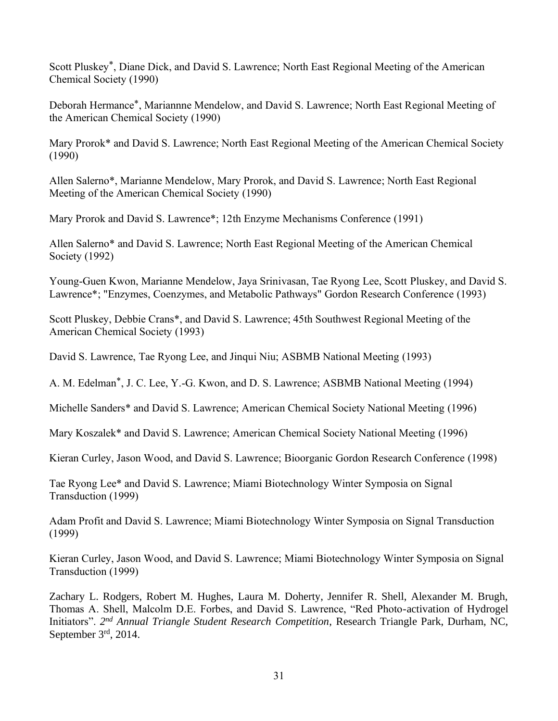Scott Pluskey\*, Diane Dick, and David S. Lawrence; North East Regional Meeting of the American Chemical Society (1990)

Deborah Hermance\*, Mariannne Mendelow, and David S. Lawrence; North East Regional Meeting of the American Chemical Society (1990)

Mary Prorok\* and David S. Lawrence; North East Regional Meeting of the American Chemical Society (1990)

Allen Salerno\*, Marianne Mendelow, Mary Prorok, and David S. Lawrence; North East Regional Meeting of the American Chemical Society (1990)

Mary Prorok and David S. Lawrence\*; 12th Enzyme Mechanisms Conference (1991)

Allen Salerno\* and David S. Lawrence; North East Regional Meeting of the American Chemical Society (1992)

Young-Guen Kwon, Marianne Mendelow, Jaya Srinivasan, Tae Ryong Lee, Scott Pluskey, and David S. Lawrence\*; "Enzymes, Coenzymes, and Metabolic Pathways" Gordon Research Conference (1993)

Scott Pluskey, Debbie Crans\*, and David S. Lawrence; 45th Southwest Regional Meeting of the American Chemical Society (1993)

David S. Lawrence, Tae Ryong Lee, and Jinqui Niu; ASBMB National Meeting (1993)

A. M. Edelman\*, J. C. Lee, Y.-G. Kwon, and D. S. Lawrence; ASBMB National Meeting (1994)

Michelle Sanders\* and David S. Lawrence; American Chemical Society National Meeting (1996)

Mary Koszalek\* and David S. Lawrence; American Chemical Society National Meeting (1996)

Kieran Curley, Jason Wood, and David S. Lawrence; Bioorganic Gordon Research Conference (1998)

Tae Ryong Lee\* and David S. Lawrence; Miami Biotechnology Winter Symposia on Signal Transduction (1999)

Adam Profit and David S. Lawrence; Miami Biotechnology Winter Symposia on Signal Transduction (1999)

Kieran Curley, Jason Wood, and David S. Lawrence; Miami Biotechnology Winter Symposia on Signal Transduction (1999)

Zachary L. Rodgers, Robert M. Hughes, Laura M. Doherty, Jennifer R. Shell, Alexander M. Brugh, Thomas A. Shell, Malcolm D.E. Forbes, and David S. Lawrence, "Red Photo-activation of Hydrogel Initiators". *2 nd Annual Triangle Student Research Competition*, Research Triangle Park, Durham, NC, September 3rd, 2014.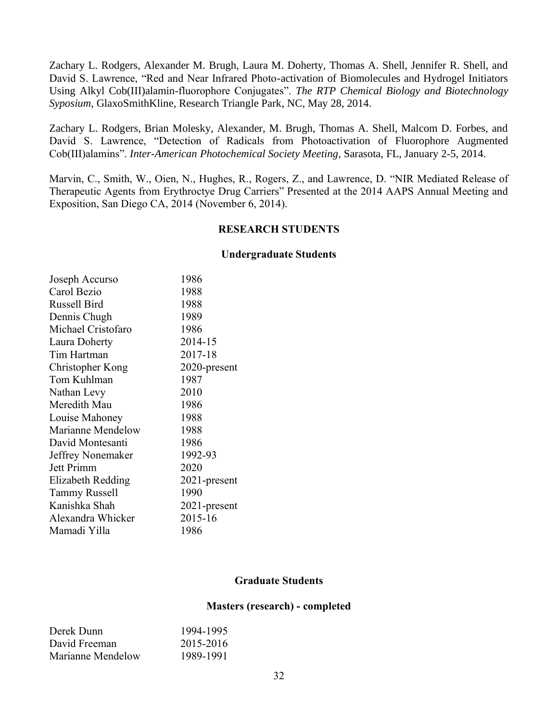Zachary L. Rodgers, Alexander M. Brugh, Laura M. Doherty, Thomas A. Shell, Jennifer R. Shell, and David S. Lawrence, "Red and Near Infrared Photo-activation of Biomolecules and Hydrogel Initiators Using Alkyl Cob(III)alamin-fluorophore Conjugates". *The RTP Chemical Biology and Biotechnology Syposium*, GlaxoSmithKline, Research Triangle Park, NC, May 28, 2014.

Zachary L. Rodgers, Brian Molesky, Alexander, M. Brugh, Thomas A. Shell, Malcom D. Forbes, and David S. Lawrence, "Detection of Radicals from Photoactivation of Fluorophore Augmented Cob(III)alamins". *Inter-American Photochemical Society Meeting*, Sarasota, FL, January 2-5, 2014.

Marvin, C., Smith, W., Oien, N., Hughes, R., Rogers, Z., and Lawrence, D. "NIR Mediated Release of Therapeutic Agents from Erythroctye Drug Carriers" Presented at the 2014 AAPS Annual Meeting and Exposition, San Diego CA, 2014 (November 6, 2014).

## **RESEARCH STUDENTS**

#### **Undergraduate Students**

| Joseph Accurso           | 1986         |
|--------------------------|--------------|
| Carol Bezio              | 1988         |
| <b>Russell Bird</b>      | 1988         |
| Dennis Chugh             | 1989         |
| Michael Cristofaro       | 1986         |
| Laura Doherty            | 2014-15      |
| Tim Hartman              | 2017-18      |
| Christopher Kong         | 2020-present |
| Tom Kuhlman              | 1987         |
| Nathan Levy              | 2010         |
| Meredith Mau             | 1986         |
| Louise Mahoney           | 1988         |
| Marianne Mendelow        | 1988         |
| David Montesanti         | 1986         |
| Jeffrey Nonemaker        | 1992-93      |
| <b>Jett Primm</b>        | 2020         |
| <b>Elizabeth Redding</b> | 2021-present |
| <b>Tammy Russell</b>     | 1990         |
| Kanishka Shah            | 2021-present |
| Alexandra Whicker        | 2015-16      |
| Mamadi Yilla             | 1986         |

## **Graduate Students**

#### **Masters (research) - completed**

| Derek Dunn        | 1994-1995 |
|-------------------|-----------|
| David Freeman     | 2015-2016 |
| Marianne Mendelow | 1989-1991 |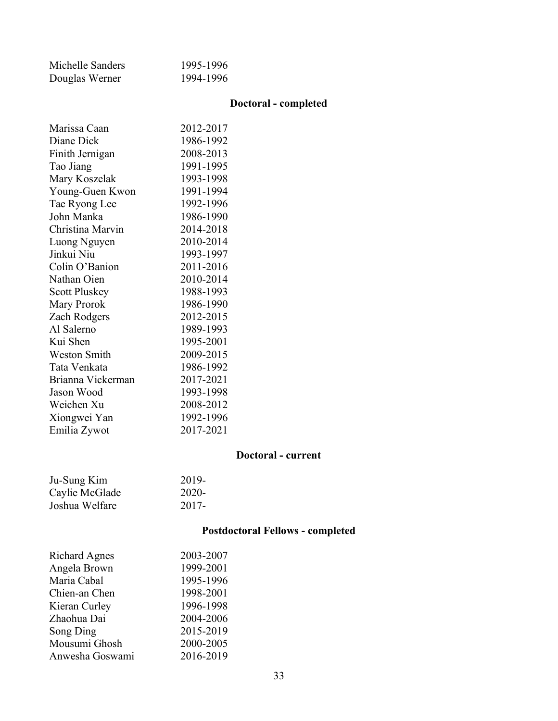| Michelle Sanders | 1995-1996 |
|------------------|-----------|
| Douglas Werner   | 1994-1996 |

# **Doctoral - completed**

| Marissa Caan         | 2012-2017 |
|----------------------|-----------|
| Diane Dick           | 1986-1992 |
| Finith Jernigan      | 2008-2013 |
| Tao Jiang            | 1991-1995 |
| Mary Koszelak        | 1993-1998 |
| Young-Guen Kwon      | 1991-1994 |
| Tae Ryong Lee        | 1992-1996 |
| John Manka           | 1986-1990 |
| Christina Marvin     | 2014-2018 |
| Luong Nguyen         | 2010-2014 |
| Jinkui Niu           | 1993-1997 |
| Colin O'Banion       | 2011-2016 |
| Nathan Oien          | 2010-2014 |
| <b>Scott Pluskey</b> | 1988-1993 |
| Mary Prorok          | 1986-1990 |
| Zach Rodgers         | 2012-2015 |
| Al Salerno           | 1989-1993 |
| Kui Shen             | 1995-2001 |
| <b>Weston Smith</b>  | 2009-2015 |
| Tata Venkata         | 1986-1992 |
| Brianna Vickerman    | 2017-2021 |
| Jason Wood           | 1993-1998 |
| Weichen Xu           | 2008-2012 |
| Xiongwei Yan         | 1992-1996 |
| Emilia Zywot         | 2017-2021 |
|                      |           |

# **Doctoral - current**

| Ju-Sung Kim    | 2019- |
|----------------|-------|
| Caylie McGlade | 2020- |
| Joshua Welfare | 2017- |

# **Postdoctoral Fellows - completed**

| <b>Richard Agnes</b> | 2003-2007 |
|----------------------|-----------|
| Angela Brown         | 1999-2001 |
| Maria Cabal          | 1995-1996 |
| Chien-an Chen        | 1998-2001 |
| Kieran Curley        | 1996-1998 |
| Zhaohua Dai          | 2004-2006 |
| Song Ding            | 2015-2019 |
| Mousumi Ghosh        | 2000-2005 |
| Anwesha Goswami      | 2016-2019 |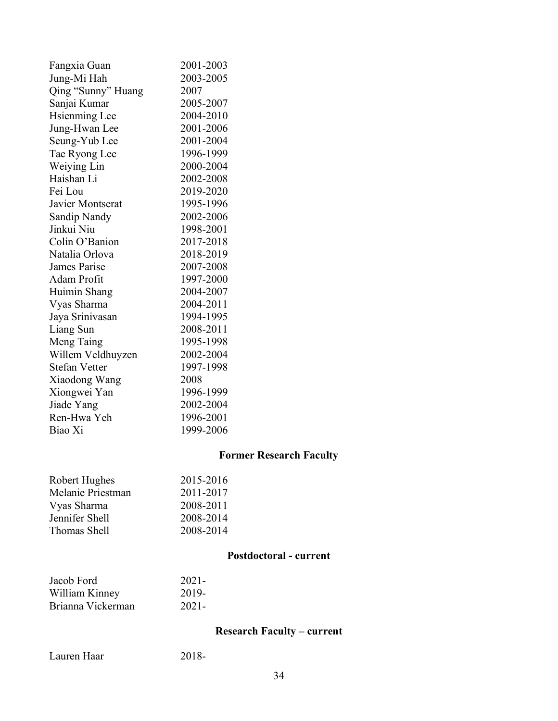| Fangxia Guan         | 2001-2003 |
|----------------------|-----------|
| Jung-Mi Hah          | 2003-2005 |
| Qing "Sunny" Huang   | 2007      |
| Sanjai Kumar         | 2005-2007 |
| <b>Hsienming Lee</b> | 2004-2010 |
| Jung-Hwan Lee        | 2001-2006 |
| Seung-Yub Lee        | 2001-2004 |
| Tae Ryong Lee        | 1996-1999 |
| Weiying Lin          | 2000-2004 |
| Haishan Li           | 2002-2008 |
| Fei Lou              | 2019-2020 |
| Javier Montserat     | 1995-1996 |
| Sandip Nandy         | 2002-2006 |
| Jinkui Niu           | 1998-2001 |
| Colin O'Banion       | 2017-2018 |
| Natalia Orlova       | 2018-2019 |
| <b>James Parise</b>  | 2007-2008 |
| Adam Profit          | 1997-2000 |
| Huimin Shang         | 2004-2007 |
| Vyas Sharma          | 2004-2011 |
| Jaya Srinivasan      | 1994-1995 |
| Liang Sun            | 2008-2011 |
| Meng Taing           | 1995-1998 |
| Willem Veldhuyzen    | 2002-2004 |
| <b>Stefan Vetter</b> | 1997-1998 |
| Xiaodong Wang        | 2008      |
| Xiongwei Yan         | 1996-1999 |
| Jiade Yang           | 2002-2004 |
| Ren-Hwa Yeh          | 1996-2001 |
| Biao Xi              | 1999-2006 |
|                      |           |

# **Former Research Faculty**

| 2015-2016 |
|-----------|
| 2011-2017 |
| 2008-2011 |
| 2008-2014 |
| 2008-2014 |
|           |

# **Postdoctoral - current**

| Jacob Ford        | $2021 -$ |
|-------------------|----------|
| William Kinney    | 2019-    |
| Brianna Vickerman | $2021 -$ |

**Research Faculty – current**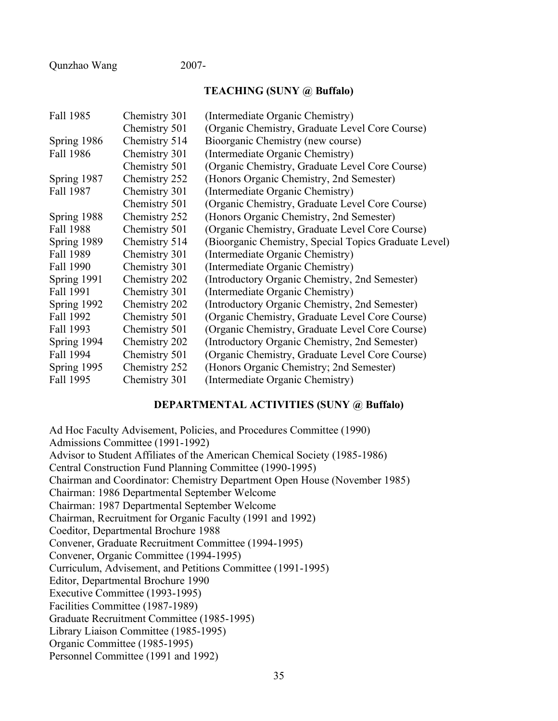Qunzhao Wang 2007-

### **TEACHING (SUNY @ Buffalo)**

| Chemistry 301 | (Intermediate Organic Chemistry)                      |
|---------------|-------------------------------------------------------|
| Chemistry 501 | (Organic Chemistry, Graduate Level Core Course)       |
| Chemistry 514 | Bioorganic Chemistry (new course)                     |
| Chemistry 301 | (Intermediate Organic Chemistry)                      |
| Chemistry 501 | (Organic Chemistry, Graduate Level Core Course)       |
| Chemistry 252 | (Honors Organic Chemistry, 2nd Semester)              |
| Chemistry 301 | (Intermediate Organic Chemistry)                      |
| Chemistry 501 | (Organic Chemistry, Graduate Level Core Course)       |
| Chemistry 252 | (Honors Organic Chemistry, 2nd Semester)              |
| Chemistry 501 | (Organic Chemistry, Graduate Level Core Course)       |
| Chemistry 514 | (Bioorganic Chemistry, Special Topics Graduate Level) |
| Chemistry 301 | (Intermediate Organic Chemistry)                      |
| Chemistry 301 | (Intermediate Organic Chemistry)                      |
| Chemistry 202 | (Introductory Organic Chemistry, 2nd Semester)        |
| Chemistry 301 | (Intermediate Organic Chemistry)                      |
| Chemistry 202 | (Introductory Organic Chemistry, 2nd Semester)        |
| Chemistry 501 | (Organic Chemistry, Graduate Level Core Course)       |
| Chemistry 501 | (Organic Chemistry, Graduate Level Core Course)       |
| Chemistry 202 | (Introductory Organic Chemistry, 2nd Semester)        |
| Chemistry 501 | (Organic Chemistry, Graduate Level Core Course)       |
| Chemistry 252 | (Honors Organic Chemistry; 2nd Semester)              |
| Chemistry 301 | (Intermediate Organic Chemistry)                      |
|               |                                                       |

## **DEPARTMENTAL ACTIVITIES (SUNY @ Buffalo)**

Ad Hoc Faculty Advisement, Policies, and Procedures Committee (1990) Admissions Committee (1991-1992) Advisor to Student Affiliates of the American Chemical Society (1985-1986) Central Construction Fund Planning Committee (1990-1995) Chairman and Coordinator: Chemistry Department Open House (November 1985) Chairman: 1986 Departmental September Welcome Chairman: 1987 Departmental September Welcome Chairman, Recruitment for Organic Faculty (1991 and 1992) Coeditor, Departmental Brochure 1988 Convener, Graduate Recruitment Committee (1994-1995) Convener, Organic Committee (1994-1995) Curriculum, Advisement, and Petitions Committee (1991-1995) Editor, Departmental Brochure 1990 Executive Committee (1993-1995) Facilities Committee (1987-1989) Graduate Recruitment Committee (1985-1995) Library Liaison Committee (1985-1995) Organic Committee (1985-1995) Personnel Committee (1991 and 1992)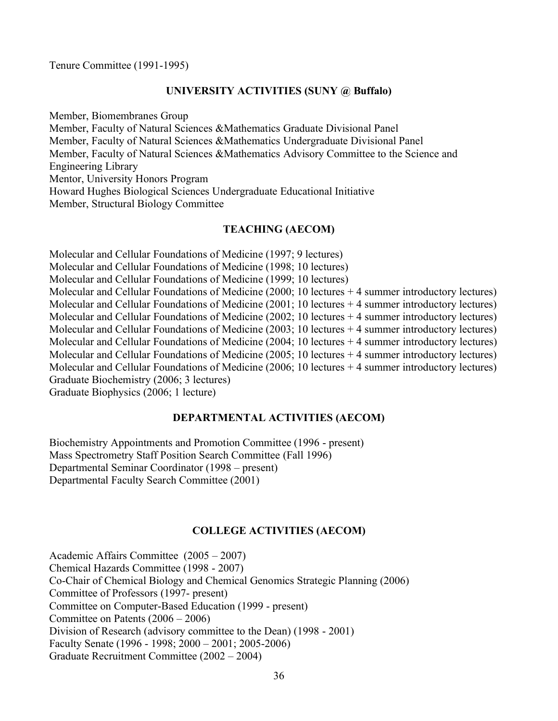Tenure Committee (1991-1995)

## **UNIVERSITY ACTIVITIES (SUNY @ Buffalo)**

Member, Biomembranes Group Member, Faculty of Natural Sciences &Mathematics Graduate Divisional Panel Member, Faculty of Natural Sciences &Mathematics Undergraduate Divisional Panel Member, Faculty of Natural Sciences &Mathematics Advisory Committee to the Science and Engineering Library Mentor, University Honors Program Howard Hughes Biological Sciences Undergraduate Educational Initiative Member, Structural Biology Committee

## **TEACHING (AECOM)**

Molecular and Cellular Foundations of Medicine (1997; 9 lectures) Molecular and Cellular Foundations of Medicine (1998; 10 lectures) Molecular and Cellular Foundations of Medicine (1999; 10 lectures) Molecular and Cellular Foundations of Medicine (2000; 10 lectures + 4 summer introductory lectures) Molecular and Cellular Foundations of Medicine  $(2001; 10$  lectures  $+4$  summer introductory lectures) Molecular and Cellular Foundations of Medicine (2002; 10 lectures + 4 summer introductory lectures) Molecular and Cellular Foundations of Medicine  $(2003; 10$  lectures  $+4$  summer introductory lectures) Molecular and Cellular Foundations of Medicine (2004; 10 lectures + 4 summer introductory lectures) Molecular and Cellular Foundations of Medicine (2005; 10 lectures + 4 summer introductory lectures) Molecular and Cellular Foundations of Medicine (2006; 10 lectures + 4 summer introductory lectures) Graduate Biochemistry (2006; 3 lectures) Graduate Biophysics (2006; 1 lecture)

### **DEPARTMENTAL ACTIVITIES (AECOM)**

Biochemistry Appointments and Promotion Committee (1996 - present) Mass Spectrometry Staff Position Search Committee (Fall 1996) Departmental Seminar Coordinator (1998 – present) Departmental Faculty Search Committee (2001)

## **COLLEGE ACTIVITIES (AECOM)**

Academic Affairs Committee (2005 – 2007) Chemical Hazards Committee (1998 - 2007) Co-Chair of Chemical Biology and Chemical Genomics Strategic Planning (2006) Committee of Professors (1997- present) Committee on Computer-Based Education (1999 - present) Committee on Patents (2006 – 2006) Division of Research (advisory committee to the Dean) (1998 - 2001) Faculty Senate (1996 - 1998; 2000 – 2001; 2005-2006) Graduate Recruitment Committee (2002 – 2004)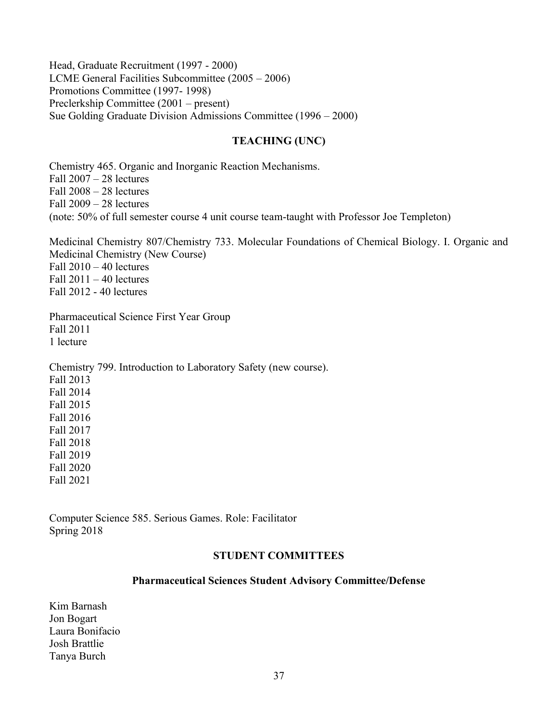Head, Graduate Recruitment (1997 - 2000) LCME General Facilities Subcommittee (2005 – 2006) Promotions Committee (1997- 1998) Preclerkship Committee (2001 – present) Sue Golding Graduate Division Admissions Committee (1996 – 2000)

# **TEACHING (UNC)**

Chemistry 465. Organic and Inorganic Reaction Mechanisms. Fall 2007 – 28 lectures Fall 2008 – 28 lectures Fall 2009 – 28 lectures (note: 50% of full semester course 4 unit course team-taught with Professor Joe Templeton)

Medicinal Chemistry 807/Chemistry 733. Molecular Foundations of Chemical Biology. I. Organic and Medicinal Chemistry (New Course) Fall  $2010 - 40$  lectures Fall  $2011 - 40$  lectures Fall 2012 - 40 lectures

Pharmaceutical Science First Year Group Fall 2011 1 lecture

Chemistry 799. Introduction to Laboratory Safety (new course). Fall 2013 Fall 2014 Fall 2015 Fall 2016 Fall 2017 Fall 2018 Fall 2019 Fall 2020 Fall 2021

Computer Science 585. Serious Games. Role: Facilitator Spring 2018

## **STUDENT COMMITTEES**

## **Pharmaceutical Sciences Student Advisory Committee/Defense**

Kim Barnash Jon Bogart Laura Bonifacio Josh Brattlie Tanya Burch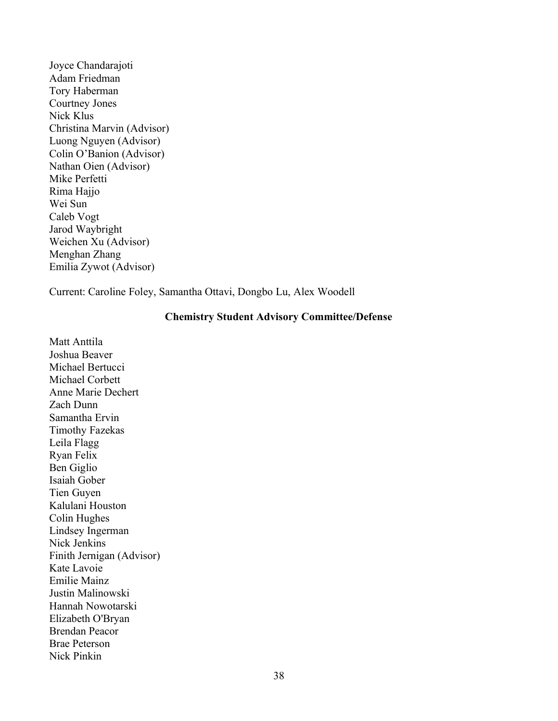Joyce Chandarajoti Adam Friedman Tory Haberman Courtney Jones Nick Klus Christina Marvin (Advisor) Luong Nguyen (Advisor) Colin O'Banion (Advisor) Nathan Oien (Advisor) Mike Perfetti Rima Hajjo Wei Sun Caleb Vogt Jarod Waybright Weichen Xu (Advisor) Menghan Zhang Emilia Zywot (Advisor)

Current: Caroline Foley, Samantha Ottavi, Dongbo Lu, Alex Woodell

## **Chemistry Student Advisory Committee/Defense**

Matt Anttila Joshua Beaver Michael Bertucci Michael Corbett Anne Marie Dechert Zach Dunn Samantha Ervin Timothy Fazekas Leila Flagg Ryan Felix Ben Giglio Isaiah Gober Tien Guyen Kalulani Houston Colin Hughes Lindsey Ingerman Nick Jenkins Finith Jernigan (Advisor) Kate Lavoie Emilie Mainz Justin Malinowski Hannah Nowotarski Elizabeth O'Bryan Brendan Peacor Brae Peterson Nick Pinkin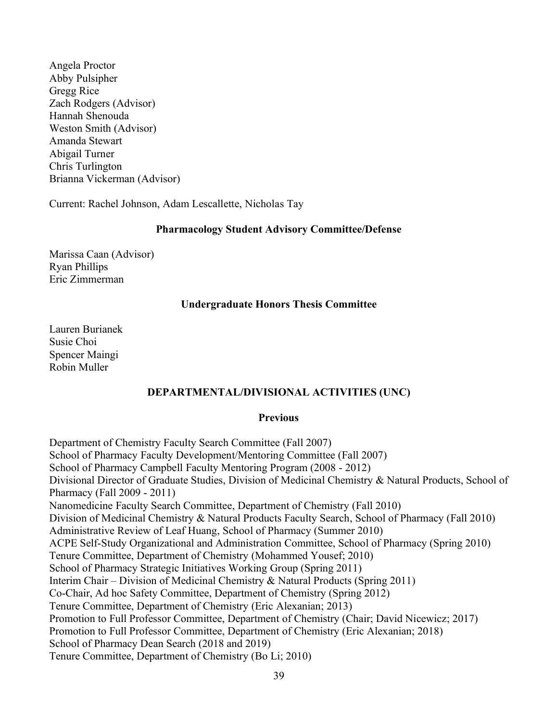Angela Proctor Abby Pulsipher Gregg Rice Zach Rodgers (Advisor) Hannah Shenouda Weston Smith (Advisor) Amanda Stewart Abigail Turner Chris Turlington Brianna Vickerman (Advisor)

Current: Rachel Johnson, Adam Lescallette, Nicholas Tay

### **Pharmacology Student Advisory Committee/Defense**

Marissa Caan (Advisor) Ryan Phillips Eric Zimmerman

## **Undergraduate Honors Thesis Committee**

Lauren Burianek Susie Choi Spencer Maingi Robin Muller

## **DEPARTMENTAL/DIVISIONAL ACTIVITIES (UNC)**

#### **Previous**

Department of Chemistry Faculty Search Committee (Fall 2007) School of Pharmacy Faculty Development/Mentoring Committee (Fall 2007) School of Pharmacy Campbell Faculty Mentoring Program (2008 - 2012) Divisional Director of Graduate Studies, Division of Medicinal Chemistry & Natural Products, School of Pharmacy (Fall 2009 - 2011) Nanomedicine Faculty Search Committee, Department of Chemistry (Fall 2010) Division of Medicinal Chemistry & Natural Products Faculty Search, School of Pharmacy (Fall 2010) Administrative Review of Leaf Huang, School of Pharmacy (Summer 2010) ACPE Self-Study Organizational and Administration Committee, School of Pharmacy (Spring 2010) Tenure Committee, Department of Chemistry (Mohammed Yousef; 2010) School of Pharmacy Strategic Initiatives Working Group (Spring 2011) Interim Chair – Division of Medicinal Chemistry & Natural Products (Spring 2011) Co-Chair, Ad hoc Safety Committee, Department of Chemistry (Spring 2012) Tenure Committee, Department of Chemistry (Eric Alexanian; 2013) Promotion to Full Professor Committee, Department of Chemistry (Chair; David Nicewicz; 2017) Promotion to Full Professor Committee, Department of Chemistry (Eric Alexanian; 2018) School of Pharmacy Dean Search (2018 and 2019) Tenure Committee, Department of Chemistry (Bo Li; 2010)